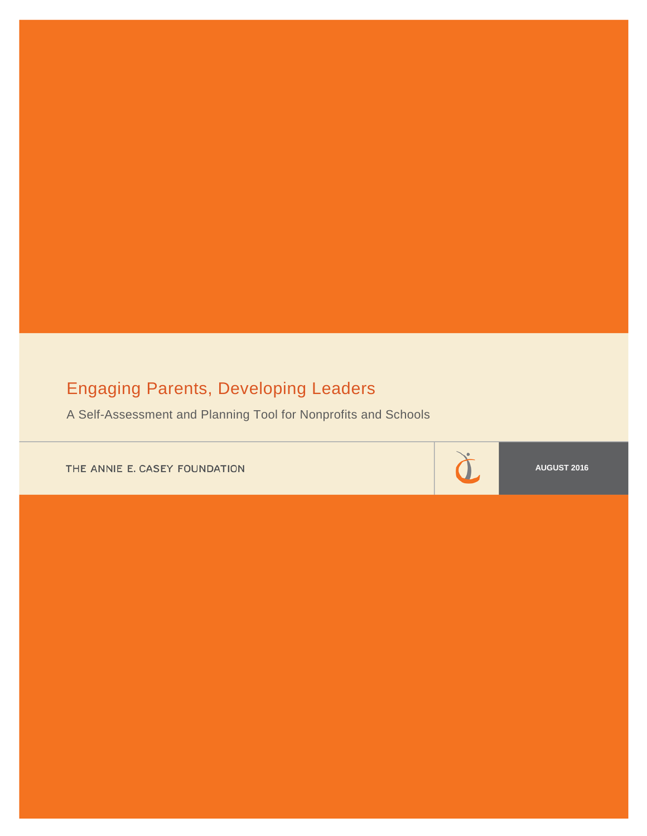# Engaging Parents, Developing Leaders

A Self-Assessment and Planning Tool for Nonprofits and Schools

THE ANNIE E. CASEY FOUNDATION

**AUGUST 2016**

 $\check{\mathtt d}$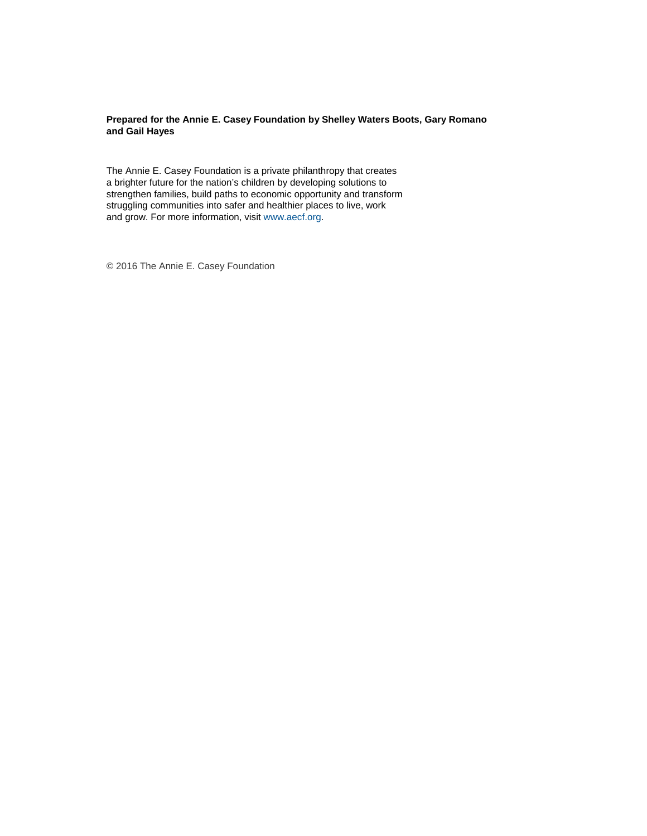## **Prepared for the Annie E. Casey Foundation by Shelley Waters Boots, Gary Romano and Gail Hayes**

The Annie E. Casey Foundation is a private philanthropy that creates a brighter future for the nation's children by developing solutions to strengthen families, build paths to economic opportunity and transform struggling communities into safer and healthier places to live, work and grow. For more information, visi[t www.aecf.org.](http://www.aecf.org/)

© 2016 The Annie E. Casey Foundation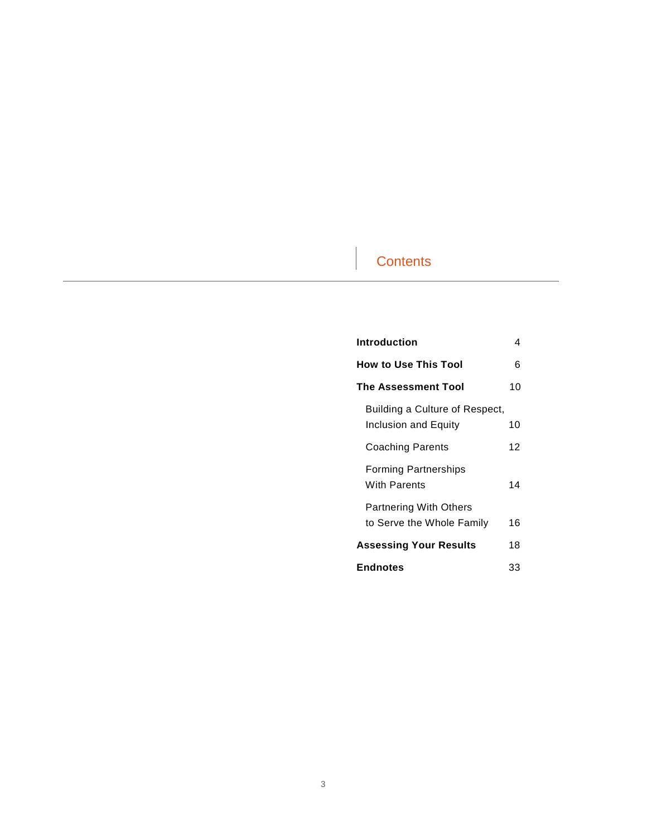# **Contents**

| Introduction                                               | 4  |
|------------------------------------------------------------|----|
| <b>How to Use This Tool</b>                                | 6  |
| The Assessment Tool                                        | 10 |
| Building a Culture of Respect,<br>Inclusion and Equity     | 10 |
| Coaching Parents                                           | 12 |
| <b>Forming Partnerships</b><br><b>With Parents</b>         | 14 |
| <b>Partnering With Others</b><br>to Serve the Whole Family | 16 |
| <b>Assessing Your Results</b>                              | 18 |
| <b>Endnotes</b>                                            | 33 |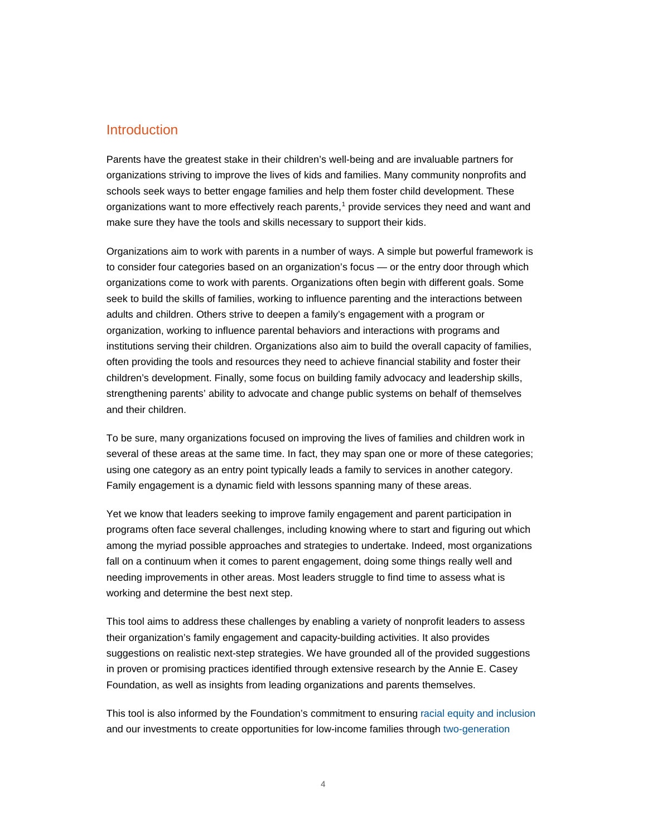# Introduction

Parents have the greatest stake in their children's well-being and are invaluable partners for organizations striving to improve the lives of kids and families. Many community nonprofits and schools seek ways to better engage families and help them foster child development. These organizations want to more effectively reach parents,<sup>[1](#page-32-0)</sup> provide services they need and want and make sure they have the tools and skills necessary to support their kids.

Organizations aim to work with parents in a number of ways. A simple but powerful framework is to consider four categories based on an organization's focus — or the entry door through which organizations come to work with parents. Organizations often begin with different goals. Some seek to build the skills of families, working to influence parenting and the interactions between adults and children. Others strive to deepen a family's engagement with a program or organization, working to influence parental behaviors and interactions with programs and institutions serving their children. Organizations also aim to build the overall capacity of families, often providing the tools and resources they need to achieve financial stability and foster their children's development. Finally, some focus on building family advocacy and leadership skills, strengthening parents' ability to advocate and change public systems on behalf of themselves and their children.

To be sure, many organizations focused on improving the lives of families and children work in several of these areas at the same time. In fact, they may span one or more of these categories; using one category as an entry point typically leads a family to services in another category. Family engagement is a dynamic field with lessons spanning many of these areas.

Yet we know that leaders seeking to improve family engagement and parent participation in programs often face several challenges, including knowing where to start and figuring out which among the myriad possible approaches and strategies to undertake. Indeed, most organizations fall on a continuum when it comes to parent engagement, doing some things really well and needing improvements in other areas. Most leaders struggle to find time to assess what is working and determine the best next step.

This tool aims to address these challenges by enabling a variety of nonprofit leaders to assess their organization's family engagement and capacity-building activities. It also provides suggestions on realistic next-step strategies. We have grounded all of the provided suggestions in proven or promising practices identified through extensive research by the Annie E. Casey Foundation, as well as insights from leading organizations and parents themselves.

This tool is also informed by the Foundation's commitment to ensuring [racial equity and inclusion](http://www.aecf.org/race4results) and our investments to create opportunities for low-income families throug[h two-generation](http://www.aecf.org/resources/creating-opportunity-for-families)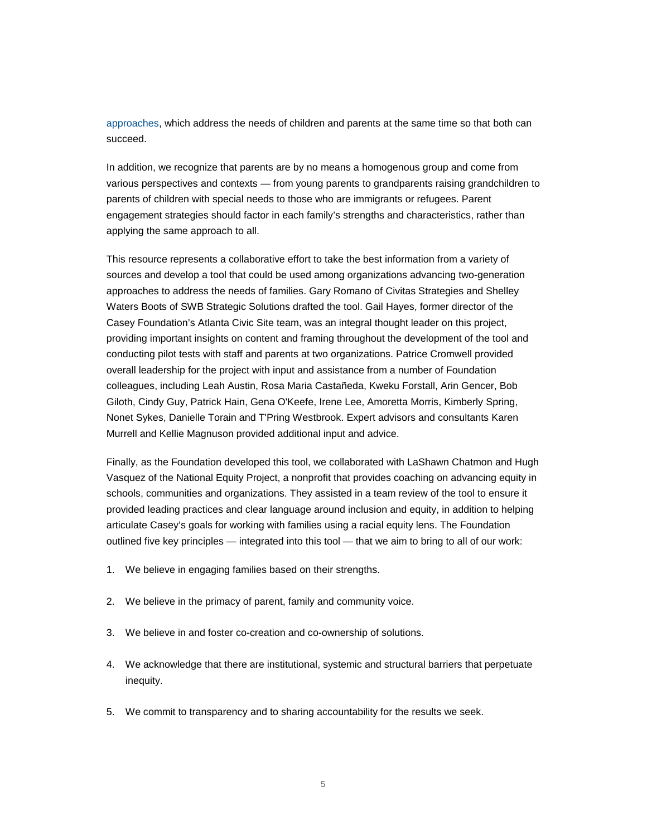[approaches,](http://www.aecf.org/resources/creating-opportunity-for-families) which address the needs of children and parents at the same time so that both can succeed.

In addition, we recognize that parents are by no means a homogenous group and come from various perspectives and contexts — from young parents to grandparents raising grandchildren to parents of children with special needs to those who are immigrants or refugees. Parent engagement strategies should factor in each family's strengths and characteristics, rather than applying the same approach to all.

This resource represents a collaborative effort to take the best information from a variety of sources and develop a tool that could be used among organizations advancing two-generation approaches to address the needs of families. Gary Romano of Civitas Strategies and Shelley Waters Boots of SWB Strategic Solutions drafted the tool. Gail Hayes, former director of the Casey Foundation's Atlanta Civic Site team, was an integral thought leader on this project, providing important insights on content and framing throughout the development of the tool and conducting pilot tests with staff and parents at two organizations. Patrice Cromwell provided overall leadership for the project with input and assistance from a number of Foundation colleagues, including Leah Austin, Rosa Maria Castañeda, Kweku Forstall, Arin Gencer, Bob Giloth, Cindy Guy, Patrick Hain, Gena O'Keefe, Irene Lee, Amoretta Morris, Kimberly Spring, Nonet Sykes, Danielle Torain and T'Pring Westbrook. Expert advisors and consultants Karen Murrell and Kellie Magnuson provided additional input and advice.

Finally, as the Foundation developed this tool, we collaborated with LaShawn Chatmon and Hugh Vasquez of the National Equity Project, a nonprofit that provides coaching on advancing equity in schools, communities and organizations. They assisted in a team review of the tool to ensure it provided leading practices and clear language around inclusion and equity, in addition to helping articulate Casey's goals for working with families using a racial equity lens. The Foundation outlined five key principles — integrated into this tool — that we aim to bring to all of our work:

- 1. We believe in engaging families based on their strengths.
- 2. We believe in the primacy of parent, family and community voice.
- 3. We believe in and foster co-creation and co-ownership of solutions.
- 4. We acknowledge that there are institutional, systemic and structural barriers that perpetuate inequity.
- 5. We commit to transparency and to sharing accountability for the results we seek.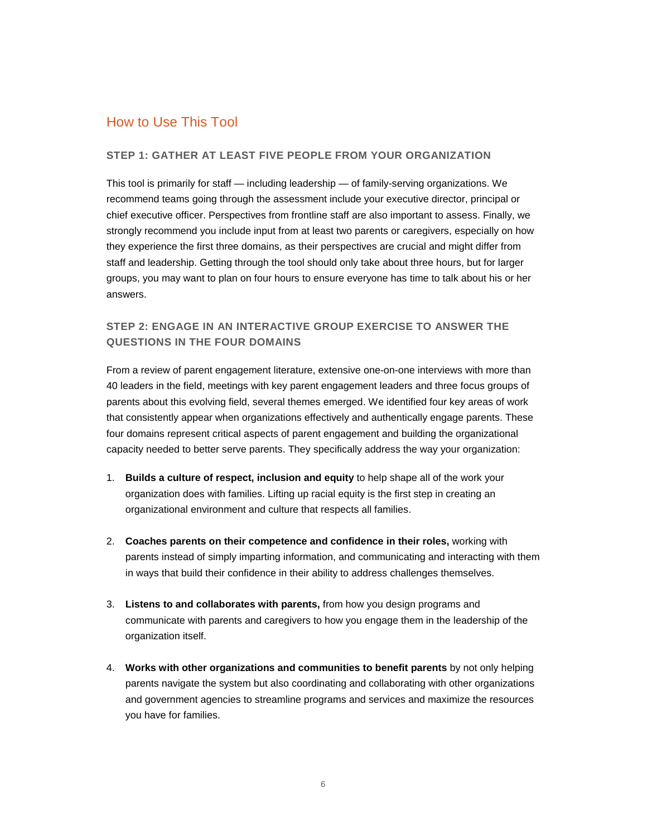# How to Use This Tool

## **STEP 1: GATHER AT LEAST FIVE PEOPLE FROM YOUR ORGANIZATION**

This tool is primarily for staff — including leadership — of family-serving organizations. We recommend teams going through the assessment include your executive director, principal or chief executive officer. Perspectives from frontline staff are also important to assess. Finally, we strongly recommend you include input from at least two parents or caregivers, especially on how they experience the first three domains, as their perspectives are crucial and might differ from staff and leadership. Getting through the tool should only take about three hours, but for larger groups, you may want to plan on four hours to ensure everyone has time to talk about his or her answers.

# **STEP 2: ENGAGE IN AN INTERACTIVE GROUP EXERCISE TO ANSWER THE QUESTIONS IN THE FOUR DOMAINS**

From a review of parent engagement literature, extensive one-on-one interviews with more than 40 leaders in the field, meetings with key parent engagement leaders and three focus groups of parents about this evolving field, several themes emerged. We identified four key areas of work that consistently appear when organizations effectively and authentically engage parents. These four domains represent critical aspects of parent engagement and building the organizational capacity needed to better serve parents. They specifically address the way your organization:

- 1. **Builds a culture of respect, inclusion and equity** to help shape all of the work your organization does with families. Lifting up racial equity is the first step in creating an organizational environment and culture that respects all families.
- 2. **Coaches parents on their competence and confidence in their roles,** working with parents instead of simply imparting information, and communicating and interacting with them in ways that build their confidence in their ability to address challenges themselves.
- 3. **Listens to and collaborates with parents,** from how you design programs and communicate with parents and caregivers to how you engage them in the leadership of the organization itself.
- 4. **Works with other organizations and communities to benefit parents** by not only helping parents navigate the system but also coordinating and collaborating with other organizations and government agencies to streamline programs and services and maximize the resources you have for families.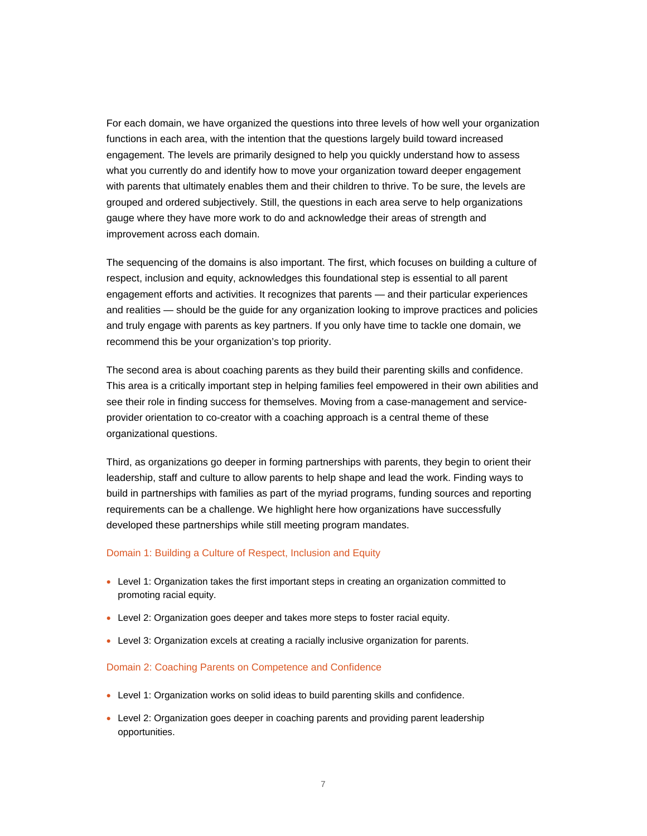For each domain, we have organized the questions into three levels of how well your organization functions in each area, with the intention that the questions largely build toward increased engagement. The levels are primarily designed to help you quickly understand how to assess what you currently do and identify how to move your organization toward deeper engagement with parents that ultimately enables them and their children to thrive. To be sure, the levels are grouped and ordered subjectively. Still, the questions in each area serve to help organizations gauge where they have more work to do and acknowledge their areas of strength and improvement across each domain.

The sequencing of the domains is also important. The first, which focuses on building a culture of respect, inclusion and equity, acknowledges this foundational step is essential to all parent engagement efforts and activities. It recognizes that parents — and their particular experiences and realities — should be the guide for any organization looking to improve practices and policies and truly engage with parents as key partners. If you only have time to tackle one domain, we recommend this be your organization's top priority.

The second area is about coaching parents as they build their parenting skills and confidence. This area is a critically important step in helping families feel empowered in their own abilities and see their role in finding success for themselves. Moving from a case-management and serviceprovider orientation to co-creator with a coaching approach is a central theme of these organizational questions.

Third, as organizations go deeper in forming partnerships with parents, they begin to orient their leadership, staff and culture to allow parents to help shape and lead the work. Finding ways to build in partnerships with families as part of the myriad programs, funding sources and reporting requirements can be a challenge. We highlight here how organizations have successfully developed these partnerships while still meeting program mandates.

### Domain 1: Building a Culture of Respect, Inclusion and Equity

- Level 1: Organization takes the first important steps in creating an organization committed to promoting racial equity.
- Level 2: Organization goes deeper and takes more steps to foster racial equity.
- Level 3: Organization excels at creating a racially inclusive organization for parents.

#### Domain 2: Coaching Parents on Competence and Confidence

- Level 1: Organization works on solid ideas to build parenting skills and confidence.
- Level 2: Organization goes deeper in coaching parents and providing parent leadership opportunities.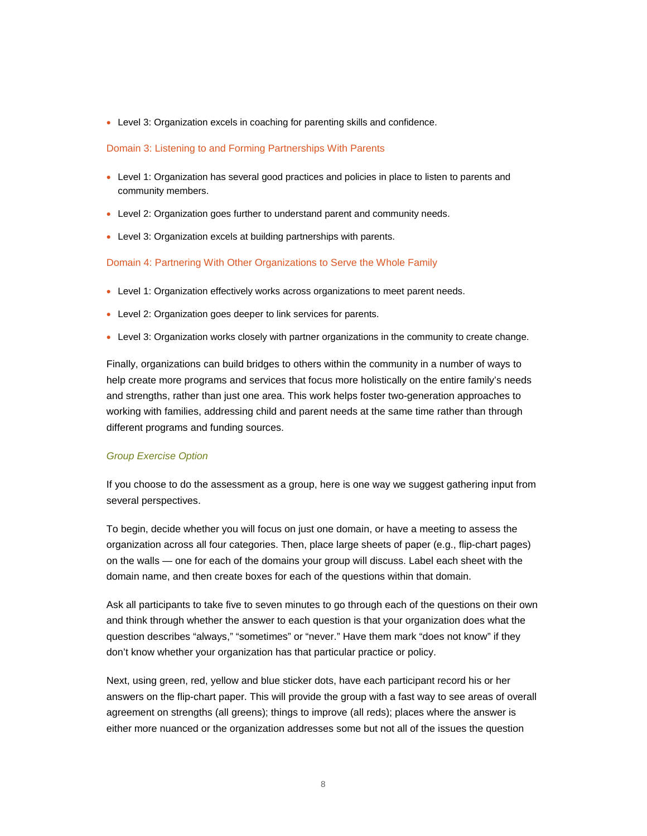• Level 3: Organization excels in coaching for parenting skills and confidence.

#### Domain 3: Listening to and Forming Partnerships With Parents

- Level 1: Organization has several good practices and policies in place to listen to parents and community members.
- Level 2: Organization goes further to understand parent and community needs.
- Level 3: Organization excels at building partnerships with parents.

#### Domain 4: Partnering With Other Organizations to Serve the Whole Family

- Level 1: Organization effectively works across organizations to meet parent needs.
- Level 2: Organization goes deeper to link services for parents.
- Level 3: Organization works closely with partner organizations in the community to create change.

Finally, organizations can build bridges to others within the community in a number of ways to help create more programs and services that focus more holistically on the entire family's needs and strengths, rather than just one area. This work helps foster two-generation approaches to working with families, addressing child and parent needs at the same time rather than through different programs and funding sources.

#### *Group Exercise Option*

If you choose to do the assessment as a group, here is one way we suggest gathering input from several perspectives.

To begin, decide whether you will focus on just one domain, or have a meeting to assess the organization across all four categories. Then, place large sheets of paper (e.g., flip-chart pages) on the walls — one for each of the domains your group will discuss. Label each sheet with the domain name, and then create boxes for each of the questions within that domain.

Ask all participants to take five to seven minutes to go through each of the questions on their own and think through whether the answer to each question is that your organization does what the question describes "always," "sometimes" or "never." Have them mark "does not know" if they don't know whether your organization has that particular practice or policy.

Next, using green, red, yellow and blue sticker dots, have each participant record his or her answers on the flip-chart paper. This will provide the group with a fast way to see areas of overall agreement on strengths (all greens); things to improve (all reds); places where the answer is either more nuanced or the organization addresses some but not all of the issues the question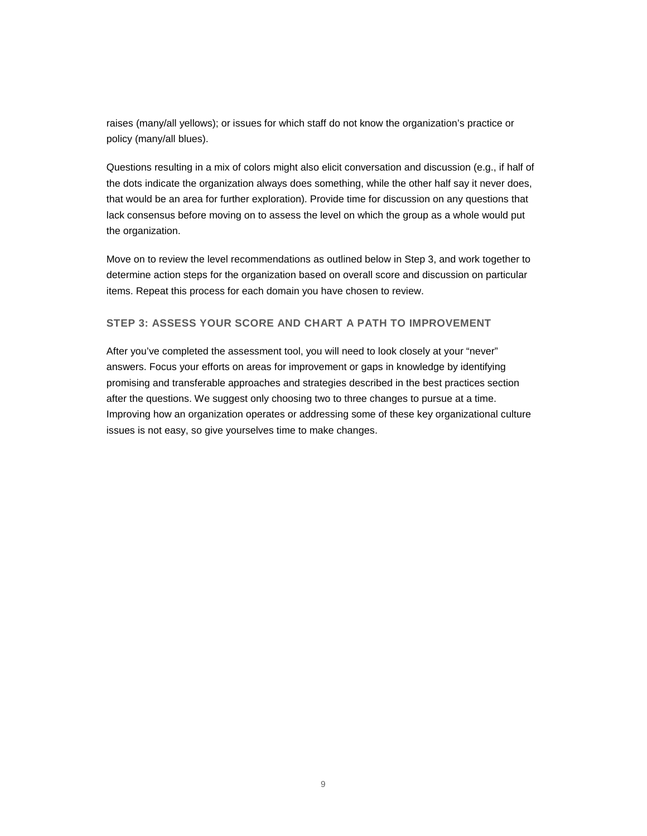raises (many/all yellows); or issues for which staff do not know the organization's practice or policy (many/all blues).

Questions resulting in a mix of colors might also elicit conversation and discussion (e.g., if half of the dots indicate the organization always does something, while the other half say it never does, that would be an area for further exploration). Provide time for discussion on any questions that lack consensus before moving on to assess the level on which the group as a whole would put the organization.

Move on to review the level recommendations as outlined below in Step 3, and work together to determine action steps for the organization based on overall score and discussion on particular items. Repeat this process for each domain you have chosen to review.

## **STEP 3: ASSESS YOUR SCORE AND CHART A PATH TO IMPROVEMENT**

After you've completed the assessment tool, you will need to look closely at your "never" answers. Focus your efforts on areas for improvement or gaps in knowledge by identifying promising and transferable approaches and strategies described in the best practices section after the questions. We suggest only choosing two to three changes to pursue at a time. Improving how an organization operates or addressing some of these key organizational culture issues is not easy, so give yourselves time to make changes.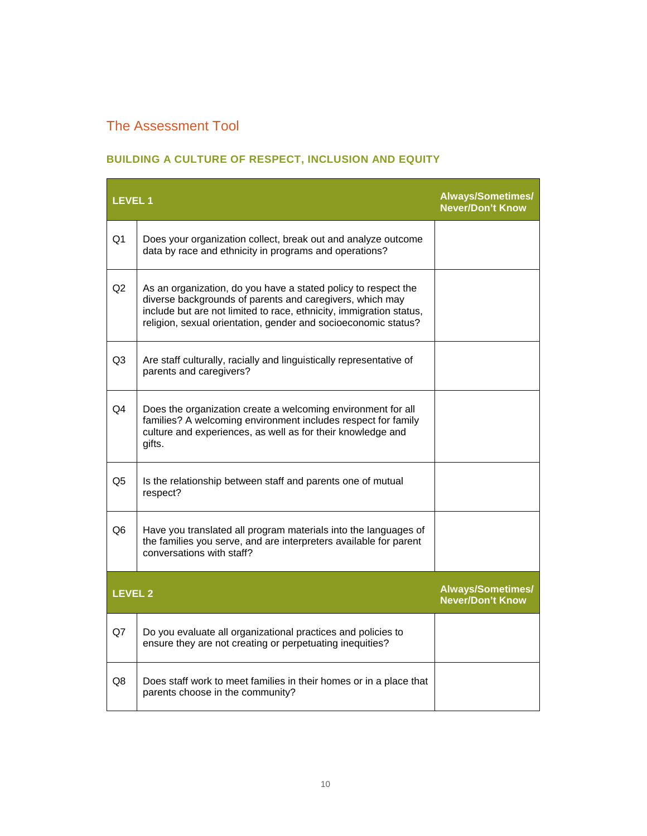# The Assessment Tool

# **BUILDING A CULTURE OF RESPECT, INCLUSION AND EQUITY**

| <b>LEVEL1</b>  |                                                                                                                                                                                                                                                                     | <b>Always/Sometimes/</b><br><b>Never/Don't Know</b> |
|----------------|---------------------------------------------------------------------------------------------------------------------------------------------------------------------------------------------------------------------------------------------------------------------|-----------------------------------------------------|
| Q <sub>1</sub> | Does your organization collect, break out and analyze outcome<br>data by race and ethnicity in programs and operations?                                                                                                                                             |                                                     |
| Q2             | As an organization, do you have a stated policy to respect the<br>diverse backgrounds of parents and caregivers, which may<br>include but are not limited to race, ethnicity, immigration status,<br>religion, sexual orientation, gender and socioeconomic status? |                                                     |
| Q3             | Are staff culturally, racially and linguistically representative of<br>parents and caregivers?                                                                                                                                                                      |                                                     |
| Q4             | Does the organization create a welcoming environment for all<br>families? A welcoming environment includes respect for family<br>culture and experiences, as well as for their knowledge and<br>gifts.                                                              |                                                     |
| Q <sub>5</sub> | Is the relationship between staff and parents one of mutual<br>respect?                                                                                                                                                                                             |                                                     |
| Q6             | Have you translated all program materials into the languages of<br>the families you serve, and are interpreters available for parent<br>conversations with staff?                                                                                                   |                                                     |
| <b>LEVEL 2</b> |                                                                                                                                                                                                                                                                     | <b>Always/Sometimes/</b><br><b>Never/Don't Know</b> |
| Q7             | Do you evaluate all organizational practices and policies to<br>ensure they are not creating or perpetuating inequities?                                                                                                                                            |                                                     |
| Q8             | Does staff work to meet families in their homes or in a place that<br>parents choose in the community?                                                                                                                                                              |                                                     |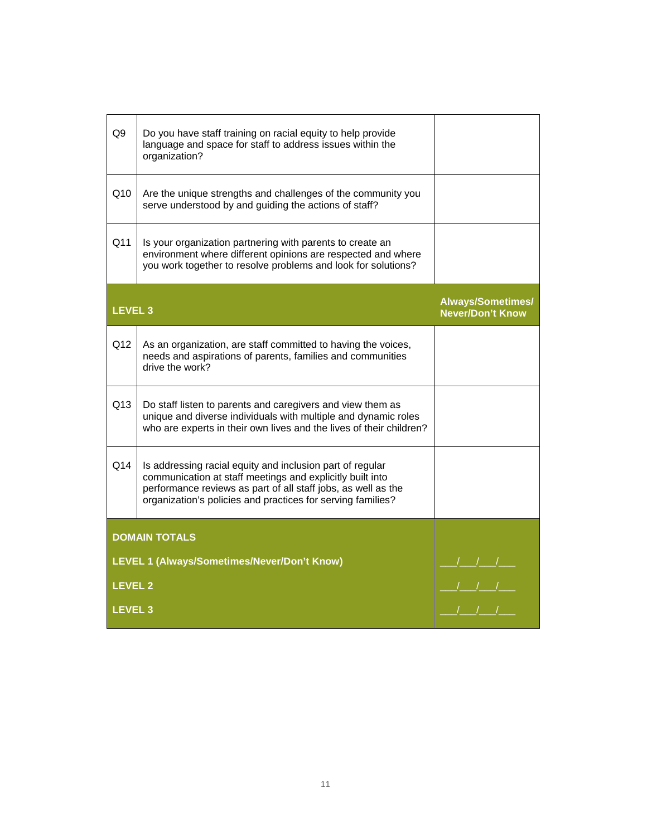| Q9                 | Do you have staff training on racial equity to help provide<br>language and space for staff to address issues within the<br>organization?                                                                                                              |                                                     |
|--------------------|--------------------------------------------------------------------------------------------------------------------------------------------------------------------------------------------------------------------------------------------------------|-----------------------------------------------------|
| Q10                | Are the unique strengths and challenges of the community you<br>serve understood by and guiding the actions of staff?                                                                                                                                  |                                                     |
| Q11                | Is your organization partnering with parents to create an<br>environment where different opinions are respected and where<br>you work together to resolve problems and look for solutions?                                                             |                                                     |
| <b>LEVEL 3</b>     |                                                                                                                                                                                                                                                        | <b>Always/Sometimes/</b><br><b>Never/Don't Know</b> |
| Q12                | As an organization, are staff committed to having the voices,<br>needs and aspirations of parents, families and communities<br>drive the work?                                                                                                         |                                                     |
| Q13                | Do staff listen to parents and caregivers and view them as<br>unique and diverse individuals with multiple and dynamic roles<br>who are experts in their own lives and the lives of their children?                                                    |                                                     |
| Q14                | Is addressing racial equity and inclusion part of regular<br>communication at staff meetings and explicitly built into<br>performance reviews as part of all staff jobs, as well as the<br>organization's policies and practices for serving families? |                                                     |
|                    | <b>DOMAIN TOTALS</b>                                                                                                                                                                                                                                   |                                                     |
|                    | LEVEL 1 (Always/Sometimes/Never/Don't Know)                                                                                                                                                                                                            |                                                     |
| <b>LEVEL 2</b>     |                                                                                                                                                                                                                                                        |                                                     |
| LEVEL <sub>3</sub> |                                                                                                                                                                                                                                                        |                                                     |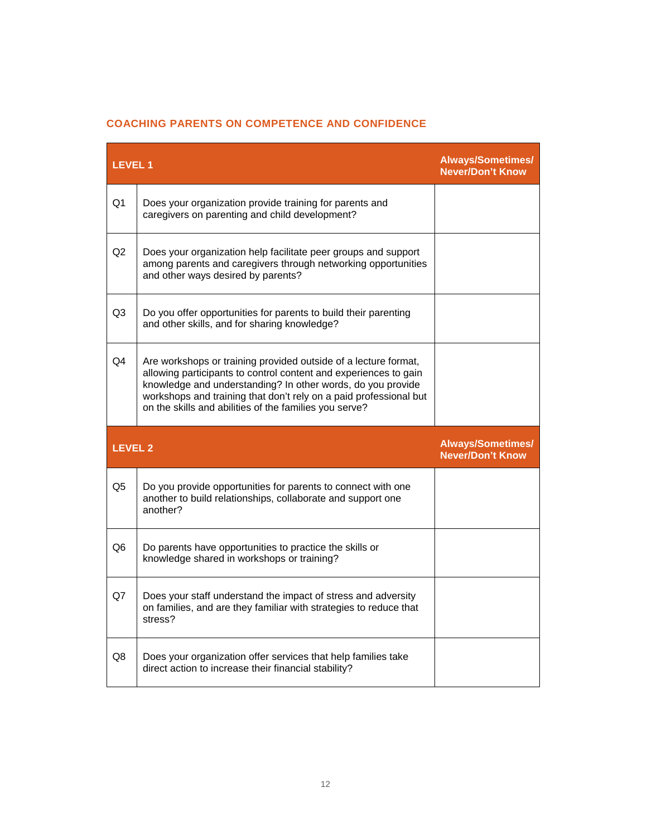# **COACHING PARENTS ON COMPETENCE AND CONFIDENCE**

| <b>LEVEL1</b>  |                                                                                                                                                                                                                                                                                                                                   | <b>Always/Sometimes/</b><br><b>Never/Don't Know</b> |
|----------------|-----------------------------------------------------------------------------------------------------------------------------------------------------------------------------------------------------------------------------------------------------------------------------------------------------------------------------------|-----------------------------------------------------|
| Q1             | Does your organization provide training for parents and<br>caregivers on parenting and child development?                                                                                                                                                                                                                         |                                                     |
| Q <sub>2</sub> | Does your organization help facilitate peer groups and support<br>among parents and caregivers through networking opportunities<br>and other ways desired by parents?                                                                                                                                                             |                                                     |
| Q <sub>3</sub> | Do you offer opportunities for parents to build their parenting<br>and other skills, and for sharing knowledge?                                                                                                                                                                                                                   |                                                     |
| Q4             | Are workshops or training provided outside of a lecture format,<br>allowing participants to control content and experiences to gain<br>knowledge and understanding? In other words, do you provide<br>workshops and training that don't rely on a paid professional but<br>on the skills and abilities of the families you serve? |                                                     |
| <b>LEVEL 2</b> |                                                                                                                                                                                                                                                                                                                                   | <b>Always/Sometimes/</b><br><b>Never/Don't Know</b> |
| Q5             | Do you provide opportunities for parents to connect with one<br>another to build relationships, collaborate and support one<br>another?                                                                                                                                                                                           |                                                     |
| Q6             | Do parents have opportunities to practice the skills or<br>knowledge shared in workshops or training?                                                                                                                                                                                                                             |                                                     |
| Q7             | Does your staff understand the impact of stress and adversity<br>on families, and are they familiar with strategies to reduce that<br>stress?                                                                                                                                                                                     |                                                     |
| Q8             |                                                                                                                                                                                                                                                                                                                                   |                                                     |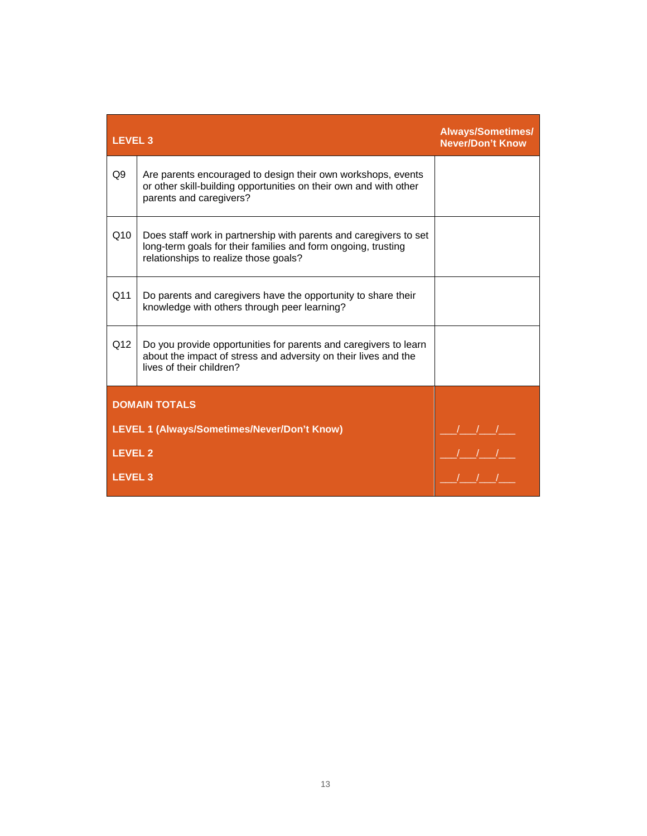| <b>LEVEL 3</b> |                                                                                                                                                                             | <b>Always/Sometimes/</b><br><b>Never/Don't Know</b> |
|----------------|-----------------------------------------------------------------------------------------------------------------------------------------------------------------------------|-----------------------------------------------------|
| Q <sub>9</sub> | Are parents encouraged to design their own workshops, events<br>or other skill-building opportunities on their own and with other<br>parents and caregivers?                |                                                     |
| Q10            | Does staff work in partnership with parents and caregivers to set<br>long-term goals for their families and form ongoing, trusting<br>relationships to realize those goals? |                                                     |
| Q11            | Do parents and caregivers have the opportunity to share their<br>knowledge with others through peer learning?                                                               |                                                     |
| Q12            | Do you provide opportunities for parents and caregivers to learn<br>about the impact of stress and adversity on their lives and the<br>lives of their children?             |                                                     |
|                | <b>DOMAIN TOTALS</b>                                                                                                                                                        |                                                     |
|                | LEVEL 1 (Always/Sometimes/Never/Don't Know)                                                                                                                                 |                                                     |
| <b>LEVEL 2</b> |                                                                                                                                                                             |                                                     |
| <b>LEVEL 3</b> |                                                                                                                                                                             |                                                     |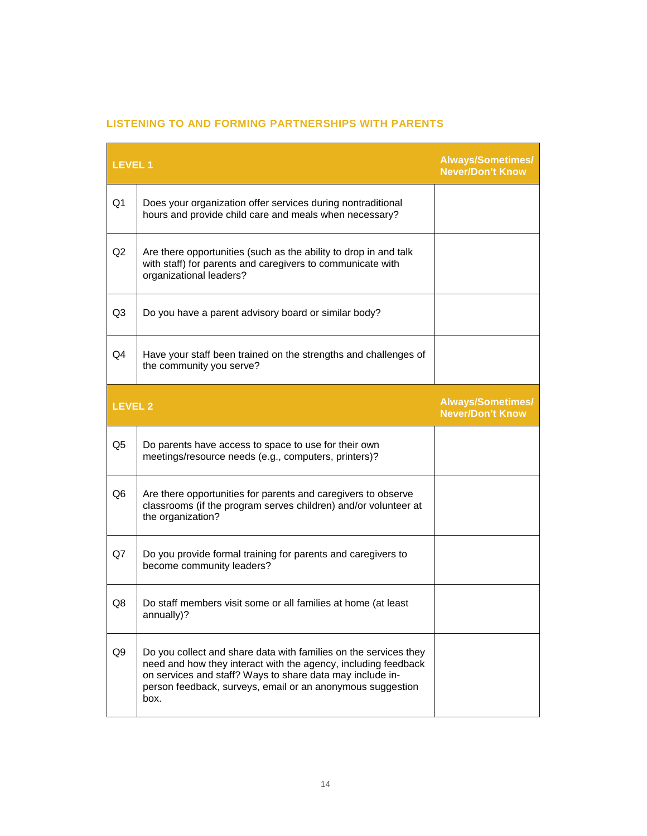| <b>LEVEL1</b>  |                                                                                                                                                                                                                                                                       | <b>Always/Sometimes/</b><br><b>Never/Don't Know</b> |
|----------------|-----------------------------------------------------------------------------------------------------------------------------------------------------------------------------------------------------------------------------------------------------------------------|-----------------------------------------------------|
| Q <sub>1</sub> | Does your organization offer services during nontraditional<br>hours and provide child care and meals when necessary?                                                                                                                                                 |                                                     |
| Q2             | Are there opportunities (such as the ability to drop in and talk<br>with staff) for parents and caregivers to communicate with<br>organizational leaders?                                                                                                             |                                                     |
| Q3             | Do you have a parent advisory board or similar body?                                                                                                                                                                                                                  |                                                     |
| Q4             | Have your staff been trained on the strengths and challenges of<br>the community you serve?                                                                                                                                                                           |                                                     |
| <b>LEVEL 2</b> |                                                                                                                                                                                                                                                                       | <b>Always/Sometimes/</b><br><b>Never/Don't Know</b> |
| Q <sub>5</sub> | Do parents have access to space to use for their own<br>meetings/resource needs (e.g., computers, printers)?                                                                                                                                                          |                                                     |
| Q <sub>6</sub> | Are there opportunities for parents and caregivers to observe<br>classrooms (if the program serves children) and/or volunteer at<br>the organization?                                                                                                                 |                                                     |
| Q7             | Do you provide formal training for parents and caregivers to<br>become community leaders?                                                                                                                                                                             |                                                     |
| Q8             | Do staff members visit some or all families at home (at least<br>annually)?                                                                                                                                                                                           |                                                     |
| Q9             | Do you collect and share data with families on the services they<br>need and how they interact with the agency, including feedback<br>on services and staff? Ways to share data may include in-<br>person feedback, surveys, email or an anonymous suggestion<br>box. |                                                     |

# **LISTENING TO AND FORMING PARTNERSHIPS WITH PARENTS**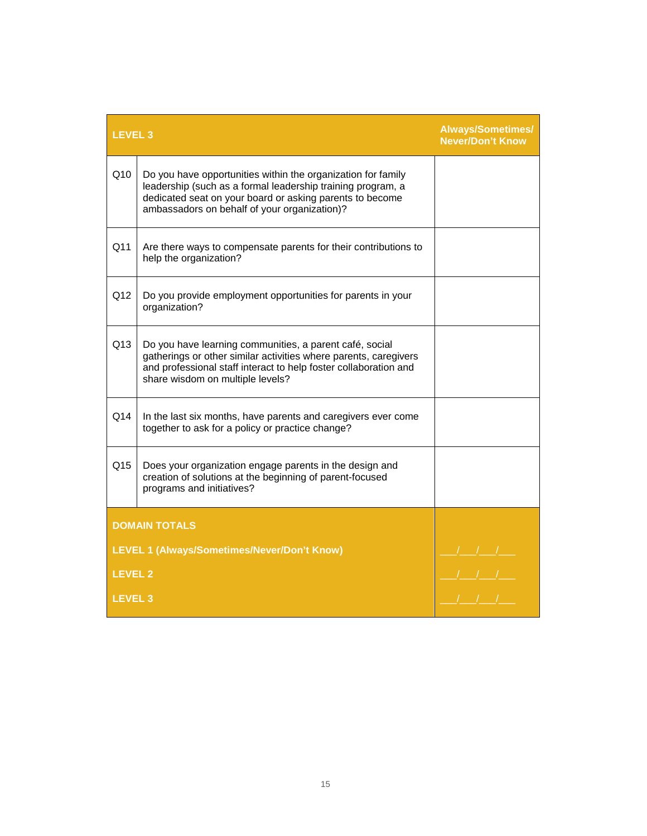| <b>LEVEL 3</b> |                                                                                                                                                                                                                                         | <b>Always/Sometimes/</b><br><b>Never/Don't Know</b> |
|----------------|-----------------------------------------------------------------------------------------------------------------------------------------------------------------------------------------------------------------------------------------|-----------------------------------------------------|
| Q10            | Do you have opportunities within the organization for family<br>leadership (such as a formal leadership training program, a<br>dedicated seat on your board or asking parents to become<br>ambassadors on behalf of your organization)? |                                                     |
| Q11            | Are there ways to compensate parents for their contributions to<br>help the organization?                                                                                                                                               |                                                     |
| Q12            | Do you provide employment opportunities for parents in your<br>organization?                                                                                                                                                            |                                                     |
| Q13            | Do you have learning communities, a parent café, social<br>gatherings or other similar activities where parents, caregivers<br>and professional staff interact to help foster collaboration and<br>share wisdom on multiple levels?     |                                                     |
| Q14            | In the last six months, have parents and caregivers ever come<br>together to ask for a policy or practice change?                                                                                                                       |                                                     |
| Q15            | Does your organization engage parents in the design and<br>creation of solutions at the beginning of parent-focused<br>programs and initiatives?                                                                                        |                                                     |
|                | <b>DOMAIN TOTALS</b>                                                                                                                                                                                                                    |                                                     |
|                | <b>LEVEL 1 (Always/Sometimes/Never/Don't Know)</b>                                                                                                                                                                                      |                                                     |
| <b>LEVEL 2</b> |                                                                                                                                                                                                                                         |                                                     |
| <b>LEVEL 3</b> |                                                                                                                                                                                                                                         |                                                     |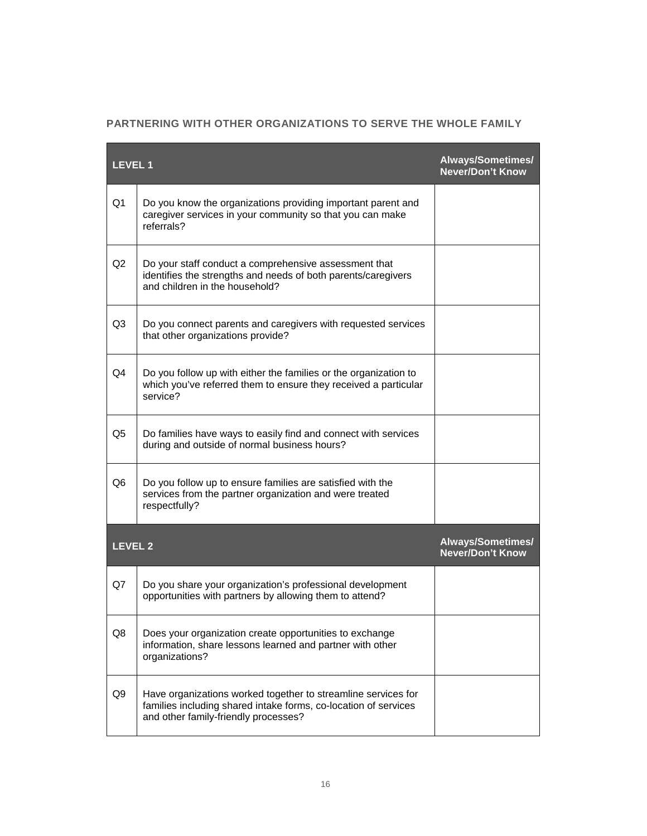|  | PARTNERING WITH OTHER ORGANIZATIONS TO SERVE THE WHOLE FAMILY |
|--|---------------------------------------------------------------|
|--|---------------------------------------------------------------|

| <b>LEVEL 1</b> |                                                                                                                                                                          | Always/Sometimes/<br><b>Never/Don't Know</b> |
|----------------|--------------------------------------------------------------------------------------------------------------------------------------------------------------------------|----------------------------------------------|
| Q <sub>1</sub> | Do you know the organizations providing important parent and<br>caregiver services in your community so that you can make<br>referrals?                                  |                                              |
| Q2             | Do your staff conduct a comprehensive assessment that<br>identifies the strengths and needs of both parents/caregivers<br>and children in the household?                 |                                              |
| Q <sub>3</sub> | Do you connect parents and caregivers with requested services<br>that other organizations provide?                                                                       |                                              |
| Q4             | Do you follow up with either the families or the organization to<br>which you've referred them to ensure they received a particular<br>service?                          |                                              |
| Q <sub>5</sub> | Do families have ways to easily find and connect with services<br>during and outside of normal business hours?                                                           |                                              |
| Q <sub>6</sub> | Do you follow up to ensure families are satisfied with the<br>services from the partner organization and were treated<br>respectfully?                                   |                                              |
| <b>LEVEL 2</b> |                                                                                                                                                                          | Always/Sometimes/<br>Never/Don't Know        |
| Q7             | Do you share your organization's professional development<br>opportunities with partners by allowing them to attend?                                                     |                                              |
| Q8             | Does your organization create opportunities to exchange<br>information, share lessons learned and partner with other<br>organizations?                                   |                                              |
| Q <sub>9</sub> | Have organizations worked together to streamline services for<br>families including shared intake forms, co-location of services<br>and other family-friendly processes? |                                              |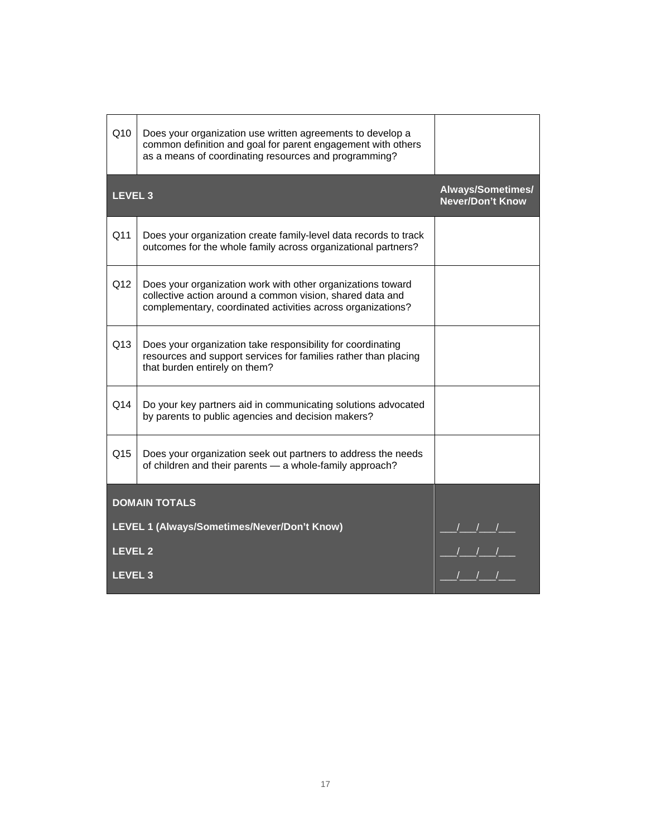| Q10            | Does your organization use written agreements to develop a<br>common definition and goal for parent engagement with others<br>as a means of coordinating resources and programming?     |                                                       |
|----------------|-----------------------------------------------------------------------------------------------------------------------------------------------------------------------------------------|-------------------------------------------------------|
| <b>LEVEL 3</b> |                                                                                                                                                                                         | Always/Sometimes/<br><b>Never/Don't Know</b>          |
| Q11            | Does your organization create family-level data records to track<br>outcomes for the whole family across organizational partners?                                                       |                                                       |
| Q12            | Does your organization work with other organizations toward<br>collective action around a common vision, shared data and<br>complementary, coordinated activities across organizations? |                                                       |
| Q13            | Does your organization take responsibility for coordinating<br>resources and support services for families rather than placing<br>that burden entirely on them?                         |                                                       |
| Q14            | Do your key partners aid in communicating solutions advocated<br>by parents to public agencies and decision makers?                                                                     |                                                       |
| Q15            | Does your organization seek out partners to address the needs<br>of children and their parents - a whole-family approach?                                                               |                                                       |
|                | <b>DOMAIN TOTALS</b>                                                                                                                                                                    |                                                       |
|                | LEVEL 1 (Always/Sometimes/Never/Don't Know)                                                                                                                                             |                                                       |
| <b>LEVEL 2</b> |                                                                                                                                                                                         | ___/___/___/___<br>___/___/___/___<br>___/___/___/___ |
| <b>LEVEL 3</b> |                                                                                                                                                                                         |                                                       |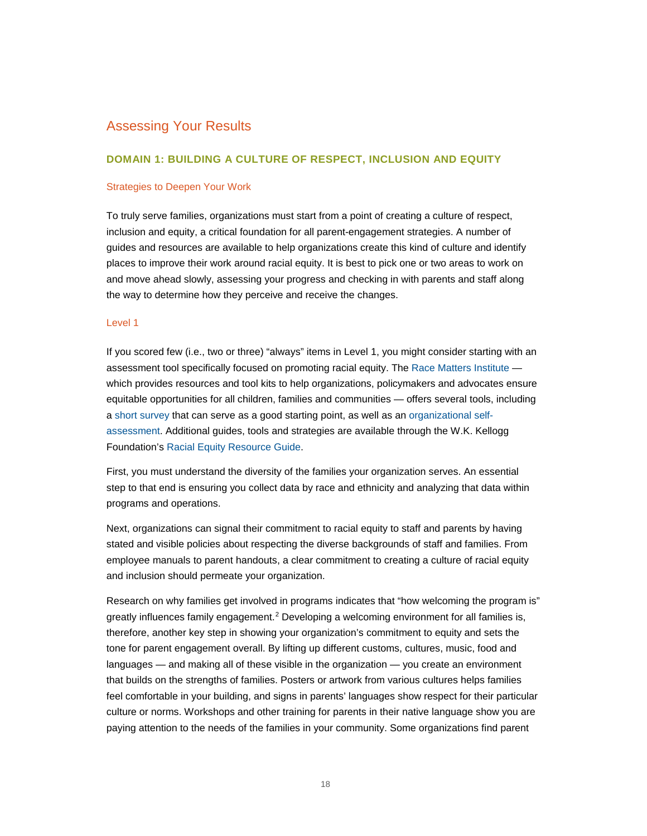# Assessing Your Results

## **DOMAIN 1: BUILDING A CULTURE OF RESPECT, INCLUSION AND EQUITY**

#### Strategies to Deepen Your Work

To truly serve families, organizations must start from a point of creating a culture of respect, inclusion and equity, a critical foundation for all parent-engagement strategies. A number of guides and resources are available to help organizations create this kind of culture and identify places to improve their work around racial equity. It is best to pick one or two areas to work on and move ahead slowly, assessing your progress and checking in with parents and staff along the way to determine how they perceive and receive the changes.

#### Level 1

If you scored few (i.e., two or three) "always" items in Level 1, you might consider starting with an assessment tool specifically focused on promoting racial equity. The [Race Matters Institute](http://racemattersinstitute.org/) which provides resources and tool kits to help organizations, policymakers and advocates ensure equitable opportunities for all children, families and communities — offers several tools, including [a short survey](http://racemattersinstitute.org/assessment) that can serve as a good starting point, as well as an [organizational self](http://www.aecf.org/resources/race-matters-organizational-self-assessment/)[assessment.](http://www.aecf.org/resources/race-matters-organizational-self-assessment/) Additional guides, tools and strategies are available through the W.K. Kellogg Foundation's [Racial Equity Resource Guide.](http://www.racialequityresourceguide.org/)

First, you must understand the diversity of the families your organization serves. An essential step to that end is ensuring you collect data by race and ethnicity and analyzing that data within programs and operations.

Next, organizations can signal their commitment to racial equity to staff and parents by having stated and visible policies about respecting the diverse backgrounds of staff and families. From employee manuals to parent handouts, a clear commitment to creating a culture of racial equity and inclusion should permeate your organization.

Research on why families get involved in programs indicates that "how welcoming the program is" greatly influences family engagement.<sup>[2](#page-32-1)</sup> Developing a welcoming environment for all families is, therefore, another key step in showing your organization's commitment to equity and sets the tone for parent engagement overall. By lifting up different customs, cultures, music, food and languages — and making all of these visible in the organization — you create an environment that builds on the strengths of families. Posters or artwork from various cultures helps families feel comfortable in your building, and signs in parents' languages show respect for their particular culture or norms. Workshops and other training for parents in their native language show you are paying attention to the needs of the families in your community. Some organizations find parent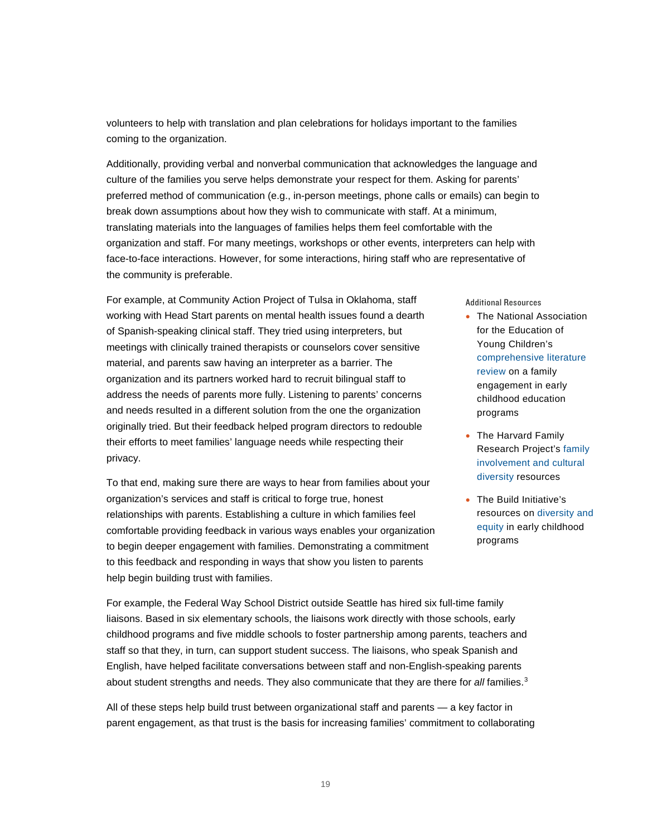volunteers to help with translation and plan celebrations for holidays important to the families coming to the organization.

Additionally, providing verbal and nonverbal communication that acknowledges the language and culture of the families you serve helps demonstrate your respect for them. Asking for parents' preferred method of communication (e.g., in-person meetings, phone calls or emails) can begin to break down assumptions about how they wish to communicate with staff. At a minimum, translating materials into the languages of families helps them feel comfortable with the organization and staff. For many meetings, workshops or other events, interpreters can help with face-to-face interactions. However, for some interactions, hiring staff who are representative of the community is preferable.

For example, at Community Action Project of Tulsa in Oklahoma, staff working with Head Start parents on mental health issues found a dearth of Spanish-speaking clinical staff. They tried using interpreters, but meetings with clinically trained therapists or counselors cover sensitive material, and parents saw having an interpreter as a barrier. The organization and its partners worked hard to recruit bilingual staff to address the needs of parents more fully. Listening to parents' concerns and needs resulted in a different solution from the one the organization originally tried. But their feedback helped program directors to redouble their efforts to meet families' language needs while respecting their privacy.

To that end, making sure there are ways to hear from families about your organization's services and staff is critical to forge true, honest relationships with parents. Establishing a culture in which families feel comfortable providing feedback in various ways enables your organization to begin deeper engagement with families. Demonstrating a commitment to this feedback and responding in ways that show you listen to parents help begin building trust with families.

Additional Resources

- The National Association for the Education of Young Children's [comprehensive literature](http://www.naeyc.org/files/naeyc/file/research/FamEngage.pdf)  [review](http://www.naeyc.org/files/naeyc/file/research/FamEngage.pdf) on a family engagement in early childhood education programs
- The Harvard Family Research Project's [family](http://www.hfrp.org/family-involvement/publications-resources?topic=2)  [involvement and cultural](http://www.hfrp.org/family-involvement/publications-resources?topic=2)  [diversity](http://www.hfrp.org/family-involvement/publications-resources?topic=2) resources
- The Build Initiative's resources on [diversity and](http://www.buildinitiative.org/TheIssues/DiversityEquity.aspx)  [equity](http://www.buildinitiative.org/TheIssues/DiversityEquity.aspx) in early childhood programs

For example, the Federal Way School District outside Seattle has hired six full-time family liaisons. Based in six elementary schools, the liaisons work directly with those schools, early childhood programs and five middle schools to foster partnership among parents, teachers and staff so that they, in turn, can support student success. The liaisons, who speak Spanish and English, have helped facilitate conversations between staff and non-English-speaking parents about student strengths and needs. They also communicate that they are there for *all* families.[3](#page-32-2)

All of these steps help build trust between organizational staff and parents — a key factor in parent engagement, as that trust is the basis for increasing families' commitment to collaborating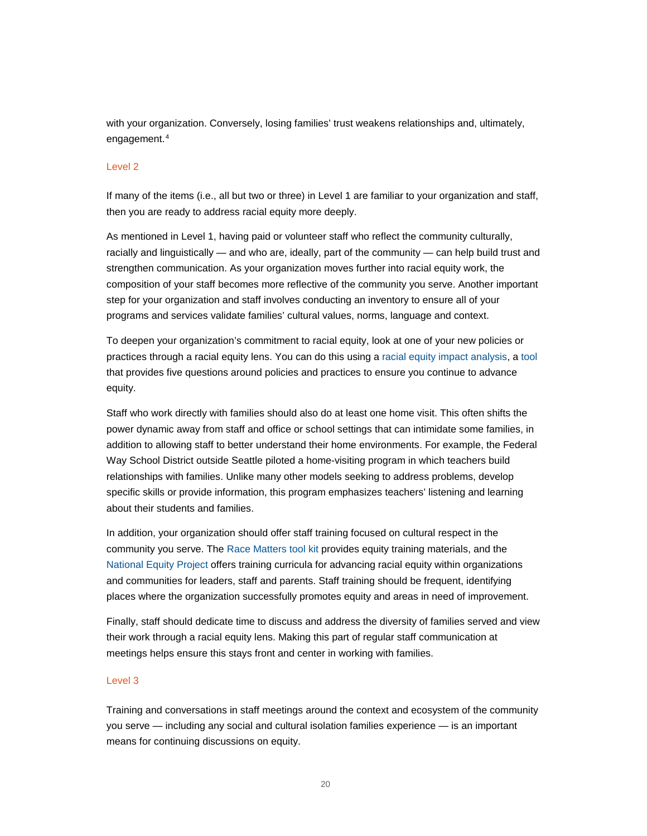with your organization. Conversely, losing families' trust weakens relationships and, ultimately, engagement.[4](#page-32-3)

#### Level 2

If many of the items (i.e., all but two or three) in Level 1 are familiar to your organization and staff, then you are ready to address racial equity more deeply.

As mentioned in Level 1, having paid or volunteer staff who reflect the community culturally, racially and linguistically — and who are, ideally, part of the community — can help build trust and strengthen communication. As your organization moves further into racial equity work, the composition of your staff becomes more reflective of the community you serve. Another important step for your organization and staff involves conducting an inventory to ensure all of your programs and services validate families' cultural values, norms, language and context.

To deepen your organization's commitment to racial equity, look at one of your new policies or practices through a racial equity lens. You can do this using [a racial equity impact analysis,](http://www.aecf.org/resources/race-matters-racial-equity-impact-analysis/) a [tool](http://www.aecf.org/resources/racial-equity-impact-assessment/) that provides five questions around policies and practices to ensure you continue to advance equity.

Staff who work directly with families should also do at least one home visit. This often shifts the power dynamic away from staff and office or school settings that can intimidate some families, in addition to allowing staff to better understand their home environments. For example, the Federal Way School District outside Seattle piloted a home-visiting program in which teachers build relationships with families. Unlike many other models seeking to address problems, develop specific skills or provide information, this program emphasizes teachers' listening and learning about their students and families.

In addition, your organization should offer staff training focused on cultural respect in the community you serve. The [Race Matters tool kit](http://www.aecf.org/resources/race-matters-toolkit-users-guide) provides equity training materials, and the [National Equity Project](http://nationalequityproject.org/) offers training curricula for advancing racial equity within organizations and communities for leaders, staff and parents. Staff training should be frequent, identifying places where the organization successfully promotes equity and areas in need of improvement.

Finally, staff should dedicate time to discuss and address the diversity of families served and view their work through a racial equity lens. Making this part of regular staff communication at meetings helps ensure this stays front and center in working with families.

## Level 3

Training and conversations in staff meetings around the context and ecosystem of the community you serve — including any social and cultural isolation families experience — is an important means for continuing discussions on equity.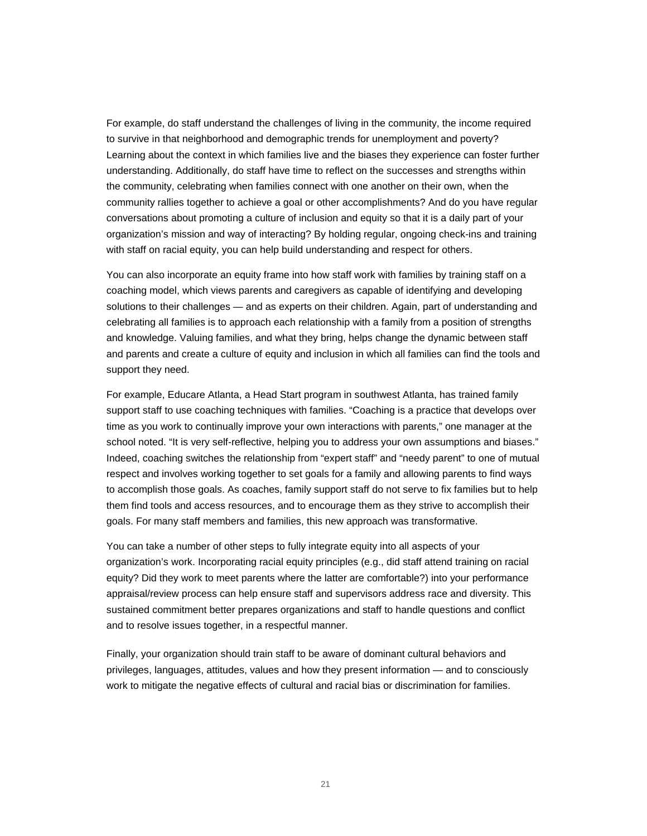For example, do staff understand the challenges of living in the community, the income required to survive in that neighborhood and demographic trends for unemployment and poverty? Learning about the context in which families live and the biases they experience can foster further understanding. Additionally, do staff have time to reflect on the successes and strengths within the community, celebrating when families connect with one another on their own, when the community rallies together to achieve a goal or other accomplishments? And do you have regular conversations about promoting a culture of inclusion and equity so that it is a daily part of your organization's mission and way of interacting? By holding regular, ongoing check-ins and training with staff on racial equity, you can help build understanding and respect for others.

You can also incorporate an equity frame into how staff work with families by training staff on a coaching model, which views parents and caregivers as capable of identifying and developing solutions to their challenges — and as experts on their children. Again, part of understanding and celebrating all families is to approach each relationship with a family from a position of strengths and knowledge. Valuing families, and what they bring, helps change the dynamic between staff and parents and create a culture of equity and inclusion in which all families can find the tools and support they need.

For example, Educare Atlanta, a Head Start program in southwest Atlanta, has trained family support staff to use coaching techniques with families. "Coaching is a practice that develops over time as you work to continually improve your own interactions with parents," one manager at the school noted. "It is very self-reflective, helping you to address your own assumptions and biases." Indeed, coaching switches the relationship from "expert staff" and "needy parent" to one of mutual respect and involves working together to set goals for a family and allowing parents to find ways to accomplish those goals. As coaches, family support staff do not serve to fix families but to help them find tools and access resources, and to encourage them as they strive to accomplish their goals. For many staff members and families, this new approach was transformative.

You can take a number of other steps to fully integrate equity into all aspects of your organization's work. Incorporating racial equity principles (e.g., did staff attend training on racial equity? Did they work to meet parents where the latter are comfortable?) into your performance appraisal/review process can help ensure staff and supervisors address race and diversity. This sustained commitment better prepares organizations and staff to handle questions and conflict and to resolve issues together, in a respectful manner.

Finally, your organization should train staff to be aware of dominant cultural behaviors and privileges, languages, attitudes, values and how they present information — and to consciously work to mitigate the negative effects of cultural and racial bias or discrimination for families.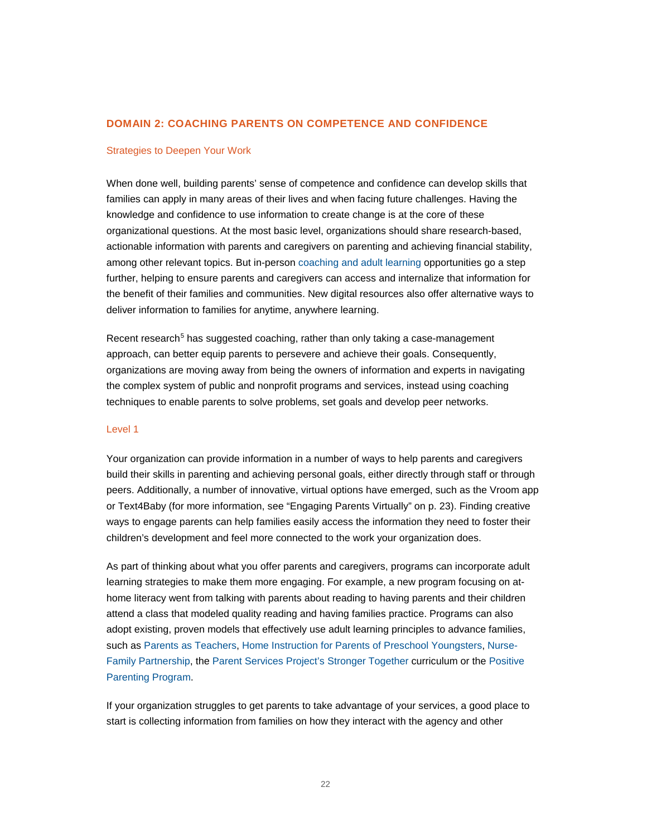## **DOMAIN 2: COACHING PARENTS ON COMPETENCE AND CONFIDENCE**

#### Strategies to Deepen Your Work

When done well, building parents' sense of competence and confidence can develop skills that families can apply in many areas of their lives and when facing future challenges. Having the knowledge and confidence to use information to create change is at the core of these organizational questions. At the most basic level, organizations should share research-based, actionable information with parents and caregivers on parenting and achieving financial stability, among other relevant topics. But in-person [coaching and adult learning](http://www.buildinitiative.org/portals/0/uploads/documents/resource-center/diversity-and-equity-toolkit/adultlearning_rev7-04-09.pdf) opportunities go a step further, helping to ensure parents and caregivers can access and internalize that information for the benefit of their families and communities. New digital resources also offer alternative ways to deliver information to families for anytime, anywhere learning.

Recent research<sup>[5](#page-32-4)</sup> has suggested coaching, rather than only taking a case-management approach, can better equip parents to persevere and achieve their goals. Consequently, organizations are moving away from being the owners of information and experts in navigating the complex system of public and nonprofit programs and services, instead using coaching techniques to enable parents to solve problems, set goals and develop peer networks.

#### Level 1

Your organization can provide information in a number of ways to help parents and caregivers build their skills in parenting and achieving personal goals, either directly through staff or through peers. Additionally, a number of innovative, virtual options have emerged, such as the Vroom app or Text4Baby (for more information, see "Engaging Parents Virtually" on p. 23). Finding creative ways to engage parents can help families easily access the information they need to foster their children's development and feel more connected to the work your organization does.

As part of thinking about what you offer parents and caregivers, programs can incorporate adult learning strategies to make them more engaging. For example, a new program focusing on athome literacy went from talking with parents about reading to having parents and their children attend a class that modeled quality reading and having families practice. Programs can also adopt existing, proven models that effectively use adult learning principles to advance families, such as [Parents as Teachers,](http://www.parentsasteachers.org/) [Home Instruction for Parents of Preschool Youngsters,](http://www.hippyusa.org/) [Nurse-](http://www.nursefamilypartnership.org/)[Family Partnership,](http://www.nursefamilypartnership.org/) the [Parent Services Project's Stronger Together](http://www.parentservices.org/program/family-engagement-programs/stronger-together/) curriculum or the [Positive](http://www.triplep.net/glo-en/home/)  [Parenting Program.](http://www.triplep.net/glo-en/home/)

If your organization struggles to get parents to take advantage of your services, a good place to start is collecting information from families on how they interact with the agency and other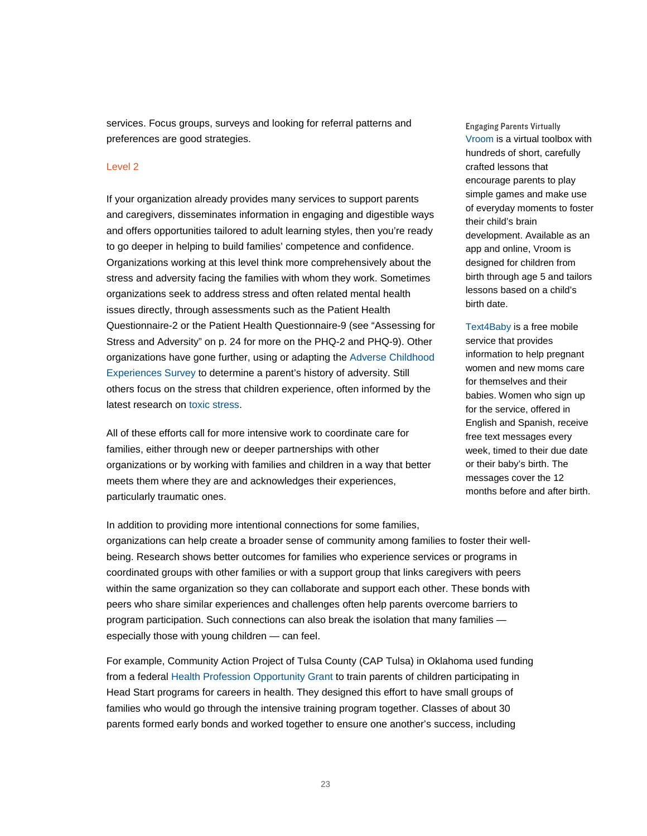services. Focus groups, surveys and looking for referral patterns and preferences are good strategies.

#### Level 2

If your organization already provides many services to support parents and caregivers, disseminates information in engaging and digestible ways and offers opportunities tailored to adult learning styles, then you're ready to go deeper in helping to build families' competence and confidence. Organizations working at this level think more comprehensively about the stress and adversity facing the families with whom they work. Sometimes organizations seek to address stress and often related mental health issues directly, through assessments such as the Patient Health Questionnaire-2 or the Patient Health Questionnaire-9 (see "Assessing for Stress and Adversity" on p. 24 for more on the PHQ-2 and PHQ-9). Other organizations have gone further, using or adapting the [Adverse Childhood](http://www.acestudy.org/)  [Experiences Survey](http://www.acestudy.org/) to determine a parent's history of adversity. Still others focus on the stress that children experience, often informed by the latest research on [toxic stress.](http://developingchild.harvard.edu/science/key-concepts/toxic-stress/)

All of these efforts call for more intensive work to coordinate care for families, either through new or deeper partnerships with other organizations or by working with families and children in a way that better meets them where they are and acknowledges their experiences, particularly traumatic ones.

Engaging Parents Virtually [Vroom](http://www.joinvroom.org/) is a virtual toolbox with hundreds of short, carefully crafted lessons that encourage parents to play simple games and make use of everyday moments to foster their child's brain development. Available as an app and online, Vroom is designed for children from birth through age 5 and tailors lessons based on a child's birth date.

[Text4Baby](https://www.text4baby.org/) is a free mobile service that provides information to help pregnant women and new moms care for themselves and their babies. Women who sign up for the service, offered in English and Spanish, receive free text messages every week, timed to their due date or their baby's birth. The messages cover the 12 months before and after birth.

In addition to providing more intentional connections for some families, organizations can help create a broader sense of community among families to foster their wellbeing. Research shows better outcomes for families who experience services or programs in coordinated groups with other families or with a support group that links caregivers with peers within the same organization so they can collaborate and support each other. These bonds with peers who share similar experiences and challenges often help parents overcome barriers to program participation. Such connections can also break the isolation that many families especially those with young children — can feel.

For example, Community Action Project of Tulsa County (CAP Tulsa) in Oklahoma used funding from a federal [Health Profession Opportunity Grant](http://www.acf.hhs.gov/programs/ofa/programs/hpog) to train parents of children participating in Head Start programs for careers in health. They designed this effort to have small groups of families who would go through the intensive training program together. Classes of about 30 parents formed early bonds and worked together to ensure one another's success, including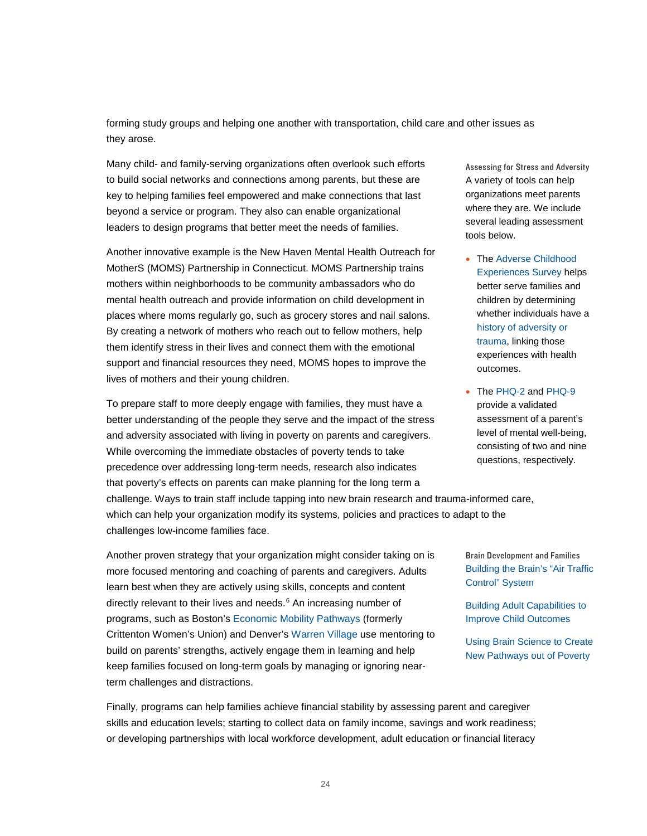forming study groups and helping one another with transportation, child care and other issues as they arose.

Many child- and family-serving organizations often overlook such efforts to build social networks and connections among parents, but these are key to helping families feel empowered and make connections that last beyond a service or program. They also can enable organizational leaders to design programs that better meet the needs of families.

Another innovative example is the New Haven Mental Health Outreach for MotherS (MOMS) Partnership in Connecticut. MOMS Partnership trains mothers within neighborhoods to be community ambassadors who do mental health outreach and provide information on child development in places where moms regularly go, such as grocery stores and nail salons. By creating a network of mothers who reach out to fellow mothers, help them identify stress in their lives and connect them with the emotional support and financial resources they need, MOMS hopes to improve the lives of mothers and their young children.

To prepare staff to more deeply engage with families, they must have a better understanding of the people they serve and the impact of the stress and adversity associated with living in poverty on parents and caregivers. While overcoming the immediate obstacles of poverty tends to take precedence over addressing long-term needs, research also indicates that poverty's effects on parents can make planning for the long term a challenge. Ways to train staff include tapping into new brain research and trauma-informed care,

which can help your organization modify its systems, policies and practices to adapt to the challenges low-income families face.

Another proven strategy that your organization might consider taking on is more focused mentoring and coaching of parents and caregivers. Adults learn best when they are actively using skills, concepts and content directly relevant to their lives and needs. [6](#page-32-5) An increasing number of programs, such as Boston'[s Economic Mobility Pathways](https://www.empathways.org/) (formerly Crittenton Women's Union) and Denver's [Warren Village](http://warrenvillage.org/) use mentoring to build on parents' strengths, actively engage them in learning and help keep families focused on long-term goals by managing or ignoring nearterm challenges and distractions.

Finally, programs can help families achieve financial stability by assessing parent and caregiver skills and education levels; starting to collect data on family income, savings and work readiness; or developing partnerships with local workforce development, adult education or financial literacy

Assessing for Stress and Adversity A variety of tools can help organizations meet parents where they are. We include several leading assessment tools below.

- The Adverse Childhood [Experiences Survey](http://www.acestudy.org/) helps better serve families and children by determining whether individuals have a [history of adversity or](http://acestoohigh.com/got-your-ace-score/)  [trauma,](http://acestoohigh.com/got-your-ace-score/) linking those experiences with health outcomes.
- Th[e PHQ-2](http://www.cqaimh.org/pdf/tool_phq2.pdf) and [PHQ-9](http://www.phqscreeners.com/pdfs/02_PHQ-9/English.pdf) provide a validated assessment of a parent's level of mental well-being, consisting of two and nine questions, respectively.

Brain Development and Families [Building the Brain's "Air Traffic](http://developingchild.harvard.edu/resources/building-the-brains-air-traffic-control-system-how-early-experiences-shape-the-development-of-executive-function/)  [Control"](http://developingchild.harvard.edu/resources/building-the-brains-air-traffic-control-system-how-early-experiences-shape-the-development-of-executive-function/) System

[Building Adult Capabilities to](http://developingchild.harvard.edu/resources/building-adult-capabilities-to-improve-child-outcomes-a-theory-of-change/)  [Improve Child Outcomes](http://developingchild.harvard.edu/resources/building-adult-capabilities-to-improve-child-outcomes-a-theory-of-change/)

[Using Brain Science to Create](https://www.youtube.com/watch?v=kHIq-8J2K0Q)  [New Pathways out of Poverty](https://www.youtube.com/watch?v=kHIq-8J2K0Q)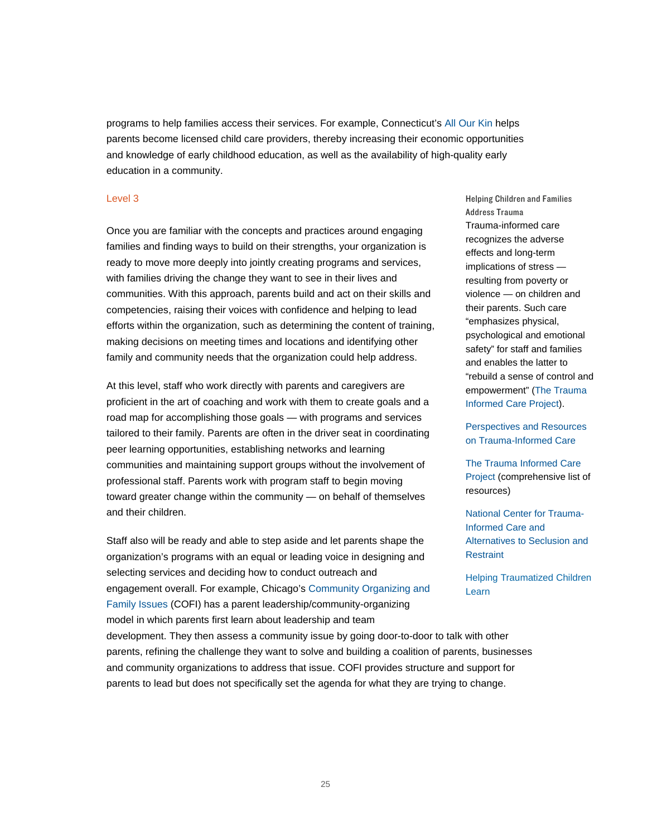programs to help families access their services. For example, Connecticut's All Our Kin helps parents become licensed child care providers, thereby increasing their economic opportunities and knowledge of early childhood education, as well as the availability of high-quality early education in a community.

### Level 3

Once you are familiar with the concepts and practices around engaging families and finding ways to build on their strengths, your organization is ready to move more deeply into jointly creating programs and services, with families driving the change they want to see in their lives and communities. With this approach, parents build and act on their skills and competencies, raising their voices with confidence and helping to lead efforts within the organization, such as determining the content of training, making decisions on meeting times and locations and identifying other family and community needs that the organization could help address.

At this level, staff who work directly with parents and caregivers are proficient in the art of coaching and work with them to create goals and a road map for accomplishing those goals — with programs and services tailored to their family. Parents are often in the driver seat in coordinating peer learning opportunities, establishing networks and learning communities and maintaining support groups without the involvement of professional staff. Parents work with program staff to begin moving toward greater change within the community — on behalf of themselves and their children.

Staff also will be ready and able to step aside and let parents shape the organization's programs with an equal or leading voice in designing and selecting services and deciding how to conduct outreach and engagement overall. For example, Chicago's [Community Organizing and](http://www.cofionline.org/) [Family Issues](http://www.cofionline.org/) (COFI) has a parent leadership/community-organizing model in which parents first learn about leadership and team

Helping Children and Families Address Trauma Trauma-informed care recognizes the adverse effects and long-term implications of stress resulting from poverty or violence — on children and their parents. Such care "emphasizes physical, psychological and emotional safety" for staff and families and enables the latter to "rebuild a sense of control and empowerment" [\(The Trauma](http://www.traumainformedcareproject.org/)  [Informed Care Project\)](http://www.traumainformedcareproject.org/).

[Perspectives and Resources](http://gucchdtacenter.georgetown.edu/TraumaInformedCare/index.html)  [on Trauma-Informed Care](http://gucchdtacenter.georgetown.edu/TraumaInformedCare/index.html)

[The Trauma Informed Care](http://www.traumainformedcareproject.org/resources.php)  [Project](http://www.traumainformedcareproject.org/resources.php) (comprehensive list of resources)

[National Center for Trauma-](http://www.samhsa.gov/nctic)[Informed Care and](http://www.samhsa.gov/nctic)  [Alternatives to Seclusion and](http://www.samhsa.gov/nctic)  [Restraint](http://www.samhsa.gov/nctic)

[Helping Traumatized Children](https://traumasensitiveschools.org/tlpi-publications/download-a-free-copy-of-helping-traumatized-children-learn/)  [Learn](https://traumasensitiveschools.org/tlpi-publications/download-a-free-copy-of-helping-traumatized-children-learn/)

development. They then assess a community issue by going door-to-door to talk with other parents, refining the challenge they want to solve and building a coalition of parents, businesses and community organizations to address that issue. COFI provides structure and support for parents to lead but does not specifically set the agenda for what they are trying to change.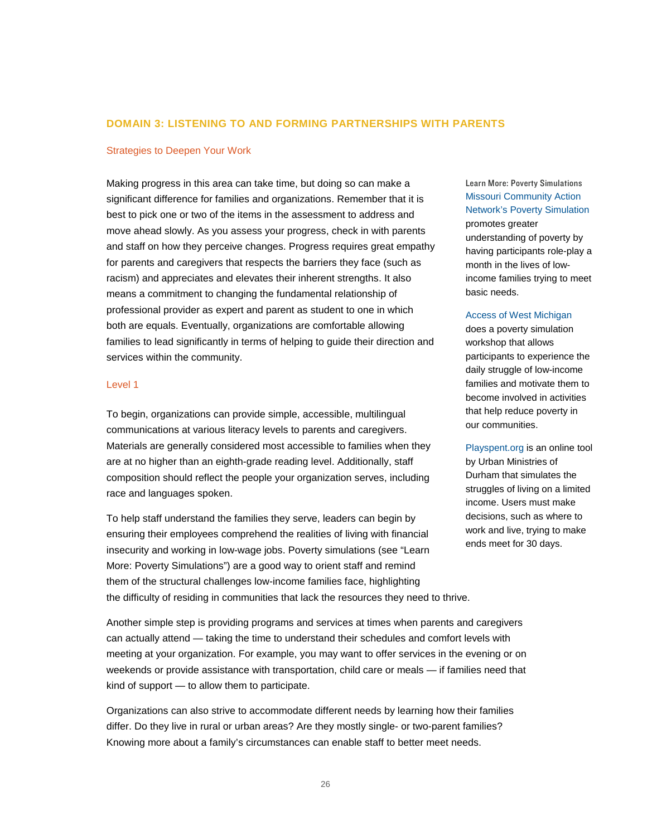#### **DOMAIN 3: LISTENING TO AND FORMING PARTNERSHIPS WITH PARENTS**

### Strategies to Deepen Your Work

Making progress in this area can take time, but doing so can make a significant difference for families and organizations. Remember that it is best to pick one or two of the items in the assessment to address and move ahead slowly. As you assess your progress, check in with parents and staff on how they perceive changes. Progress requires great empathy for parents and caregivers that respects the barriers they face (such as racism) and appreciates and elevates their inherent strengths. It also means a commitment to changing the fundamental relationship of professional provider as expert and parent as student to one in which both are equals. Eventually, organizations are comfortable allowing families to lead significantly in terms of helping to guide their direction and services within the community.

#### Level 1

To begin, organizations can provide simple, accessible, multilingual communications at various literacy levels to parents and caregivers. Materials are generally considered most accessible to families when they are at no higher than an eighth-grade reading level. Additionally, staff composition should reflect the people your organization serves, including race and languages spoken.

To help staff understand the families they serve, leaders can begin by ensuring their employees comprehend the realities of living with financial insecurity and working in low-wage jobs. Poverty simulations (see "Learn More: Poverty Simulations") are a good way to orient staff and remind them of the structural challenges low-income families face, highlighting the difficulty of residing in communities that lack the resources they need to thrive.

Another simple step is providing programs and services at times when parents and caregivers can actually attend — taking the time to understand their schedules and comfort levels with meeting at your organization. For example, you may want to offer services in the evening or on weekends or provide assistance with transportation, child care or meals — if families need that kind of support — to allow them to participate.

Organizations can also strive to accommodate different needs by learning how their families differ. Do they live in rural or urban areas? Are they mostly single- or two-parent families? Knowing more about a family's circumstances can enable staff to better meet needs.

## Learn More: Poverty Simulations [Missouri Community Action](http://www.povertysimulation.net/)  [Network's Poverty Simulation](http://www.povertysimulation.net/) promotes greater

understanding of poverty by having participants role-play a month in the lives of lowincome families trying to meet basic needs.

#### [Access of West Michigan](http://accessofwestmichigan.org/initiatives/poverty-education-initiative/poverty-simulation-workshop/)

does a poverty simulation workshop that allows participants to experience the daily struggle of low-income families and motivate them to become involved in activities that help reduce poverty in our communities.

[Playspent.org](http://www.playspent.org/) is an online tool by Urban Ministries of Durham that simulates the struggles of living on a limited income. Users must make decisions, such as where to work and live, trying to make ends meet for 30 days.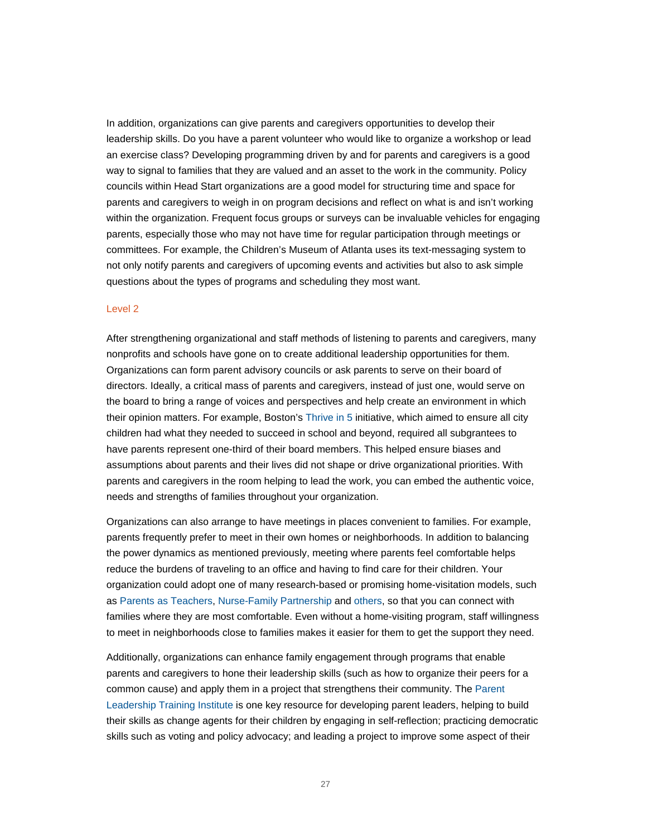In addition, organizations can give parents and caregivers opportunities to develop their leadership skills. Do you have a parent volunteer who would like to organize a workshop or lead an exercise class? Developing programming driven by and for parents and caregivers is a good way to signal to families that they are valued and an asset to the work in the community. Policy councils within Head Start organizations are a good model for structuring time and space for parents and caregivers to weigh in on program decisions and reflect on what is and isn't working within the organization. Frequent focus groups or surveys can be invaluable vehicles for engaging parents, especially those who may not have time for regular participation through meetings or committees. For example, the Children's Museum of Atlanta uses its text-messaging system to not only notify parents and caregivers of upcoming events and activities but also to ask simple questions about the types of programs and scheduling they most want.

#### Level 2

After strengthening organizational and staff methods of listening to parents and caregivers, many nonprofits and schools have gone on to create additional leadership opportunities for them. Organizations can form parent advisory councils or ask parents to serve on their board of directors. Ideally, a critical mass of parents and caregivers, instead of just one, would serve on the board to bring a range of voices and perspectives and help create an environment in which their opinion matters. For example, Boston's [Thrive in 5](http://thrivein5boston.org/) initiative, which aimed to ensure all city children had what they needed to succeed in school and beyond, required all subgrantees to have parents represent one-third of their board members. This helped ensure biases and assumptions about parents and their lives did not shape or drive organizational priorities. With parents and caregivers in the room helping to lead the work, you can embed the authentic voice, needs and strengths of families throughout your organization.

Organizations can also arrange to have meetings in places convenient to families. For example, parents frequently prefer to meet in their own homes or neighborhoods. In addition to balancing the power dynamics as mentioned previously, meeting where parents feel comfortable helps reduce the burdens of traveling to an office and having to find care for their children. Your organization could adopt one of many research-based or promising home-visitation models, such as [Parents as](http://www.parentsasteachers.org/) Teachers, [Nurse-Family Partnership](http://www.nursefamilypartnership.org/) and [others,](http://www.ncsl.org/documents/cyf/HomeVisitingProgramModelDescriptions.pdf) so that you can connect with families where they are most comfortable. Even without a home-visiting program, staff willingness to meet in neighborhoods close to families makes it easier for them to get the support they need.

Additionally, organizations can enhance family engagement through programs that enable parents and caregivers to hone their leadership skills (such as how to organize their peers for a common cause) and apply them in a project that strengthens their community. The [Parent](http://www.cga.ct.gov/coc/plti_about.htm)  [Leadership Training Institute](http://www.cga.ct.gov/coc/plti_about.htm) is one key resource for developing parent leaders, helping to build their skills as change agents for their children by engaging in self-reflection; practicing democratic skills such as voting and policy advocacy; and leading a project to improve some aspect of their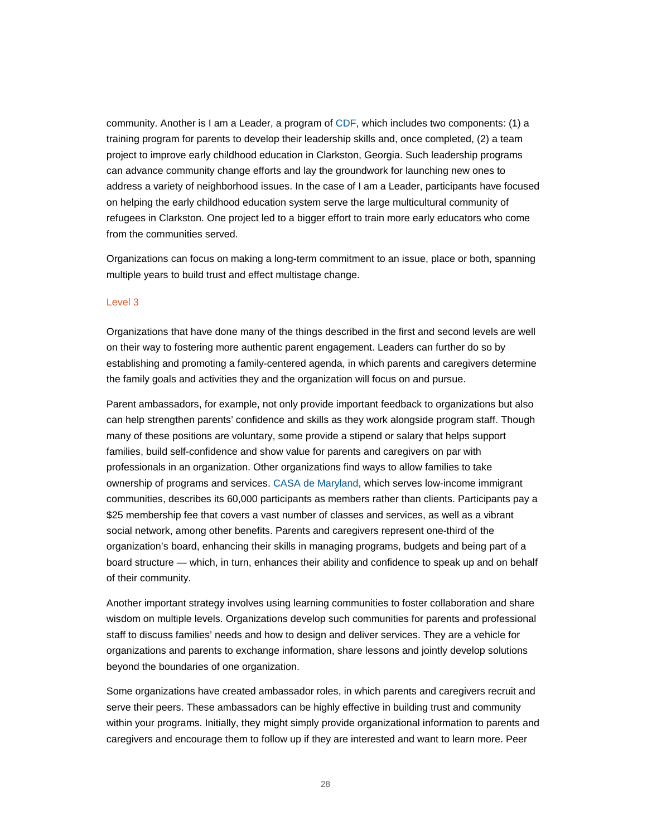community. Another is I am a Leader, a program of [CDF,](http://cdfaction.org/) which includes two components: (1) a training program for parents to develop their leadership skills and, once completed, (2) a team project to improve early childhood education in Clarkston, Georgia. Such leadership programs can advance community change efforts and lay the groundwork for launching new ones to address a variety of neighborhood issues. In the case of I am a Leader, participants have focused on helping the early childhood education system serve the large multicultural community of refugees in Clarkston. One project led to a bigger effort to train more early educators who come from the communities served.

Organizations can focus on making a long-term commitment to an issue, place or both, spanning multiple years to build trust and effect multistage change.

#### Level 3

Organizations that have done many of the things described in the first and second levels are well on their way to fostering more authentic parent engagement. Leaders can further do so by establishing and promoting a family-centered agenda, in which parents and caregivers determine the family goals and activities they and the organization will focus on and pursue.

Parent ambassadors, for example, not only provide important feedback to organizations but also can help strengthen parents' confidence and skills as they work alongside program staff. Though many of these positions are voluntary, some provide a stipend or salary that helps support families, build self-confidence and show value for parents and caregivers on par with professionals in an organization. Other organizations find ways to allow families to take ownership of programs and services[. CASA de Maryland,](http://wearecasa.org/) which serves low-income immigrant communities, describes its 60,000 participants as members rather than clients. Participants pay a \$25 membership fee that covers a vast number of classes and services, as well as a vibrant social network, among other benefits. Parents and caregivers represent one-third of the organization's board, enhancing their skills in managing programs, budgets and being part of a board structure — which, in turn, enhances their ability and confidence to speak up and on behalf of their community.

Another important strategy involves using learning communities to foster collaboration and share wisdom on multiple levels. Organizations develop such communities for parents and professional staff to discuss families' needs and how to design and deliver services. They are a vehicle for organizations and parents to exchange information, share lessons and jointly develop solutions beyond the boundaries of one organization.

Some organizations have created ambassador roles, in which parents and caregivers recruit and serve their peers. These ambassadors can be highly effective in building trust and community within your programs. Initially, they might simply provide organizational information to parents and caregivers and encourage them to follow up if they are interested and want to learn more. Peer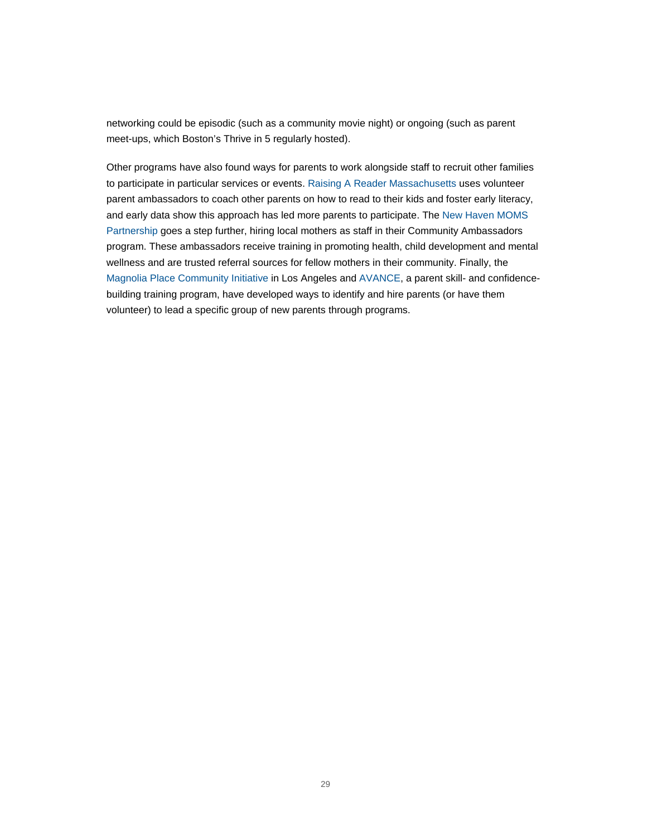networking could be episodic (such as a community movie night) or ongoing (such as parent meet-ups, which Boston's Thrive in 5 regularly hosted).

Other programs have also found ways for parents to work alongside staff to recruit other families to participate in particular services or events. [Raising A Reader Massachusetts](http://raisingareaderma.org/) uses volunteer parent ambassadors to coach other parents on how to read to their kids and foster early literacy, and early data show this approach has led more parents to participate. Th[e New Haven MOMS](http://newhavenmomspartnership.org/)  [Partnership](http://newhavenmomspartnership.org/) goes a step further, hiring local mothers as staff in their Community Ambassadors program. These ambassadors receive training in promoting health, child development and mental wellness and are trusted referral sources for fellow mothers in their community. Finally, the [Magnolia Place Community Initiative](http://www.magnoliaplacela.org/) in Los Angeles and [AVANCE,](http://www.avance.org/) a parent skill- and confidencebuilding training program, have developed ways to identify and hire parents (or have them volunteer) to lead a specific group of new parents through programs.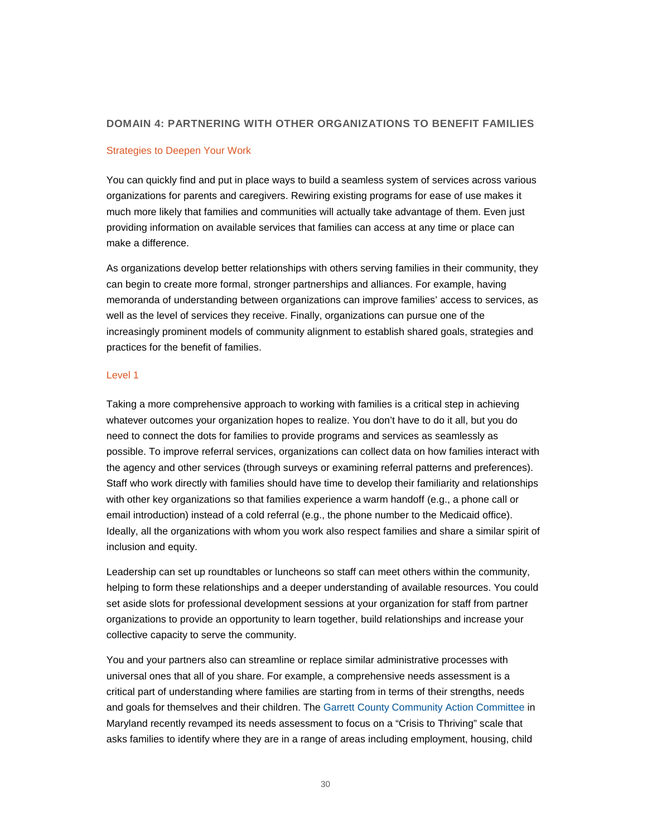## **DOMAIN 4: PARTNERING WITH OTHER ORGANIZATIONS TO BENEFIT FAMILIES**

### Strategies to Deepen Your Work

You can quickly find and put in place ways to build a seamless system of services across various organizations for parents and caregivers. Rewiring existing programs for ease of use makes it much more likely that families and communities will actually take advantage of them. Even just providing information on available services that families can access at any time or place can make a difference.

As organizations develop better relationships with others serving families in their community, they can begin to create more formal, stronger partnerships and alliances. For example, having memoranda of understanding between organizations can improve families' access to services, as well as the level of services they receive. Finally, organizations can pursue one of the increasingly prominent models of community alignment to establish shared goals, strategies and practices for the benefit of families.

#### Level 1

Taking a more comprehensive approach to working with families is a critical step in achieving whatever outcomes your organization hopes to realize. You don't have to do it all, but you do need to connect the dots for families to provide programs and services as seamlessly as possible. To improve referral services, organizations can collect data on how families interact with the agency and other services (through surveys or examining referral patterns and preferences). Staff who work directly with families should have time to develop their familiarity and relationships with other key organizations so that families experience a warm handoff (e.g., a phone call or email introduction) instead of a cold referral (e.g., the phone number to the Medicaid office). Ideally, all the organizations with whom you work also respect families and share a similar spirit of inclusion and equity.

Leadership can set up roundtables or luncheons so staff can meet others within the community, helping to form these relationships and a deeper understanding of available resources. You could set aside slots for professional development sessions at your organization for staff from partner organizations to provide an opportunity to learn together, build relationships and increase your collective capacity to serve the community.

You and your partners also can streamline or replace similar administrative processes with universal ones that all of you share. For example, a comprehensive needs assessment is a critical part of understanding where families are starting from in terms of their strengths, needs and goals for themselves and their children. The [Garrett County Community Action Committee](http://www.garrettcac.org/) in Maryland recently revamped its needs assessment to focus on a "Crisis to Thriving" scale that asks families to identify where they are in a range of areas including employment, housing, child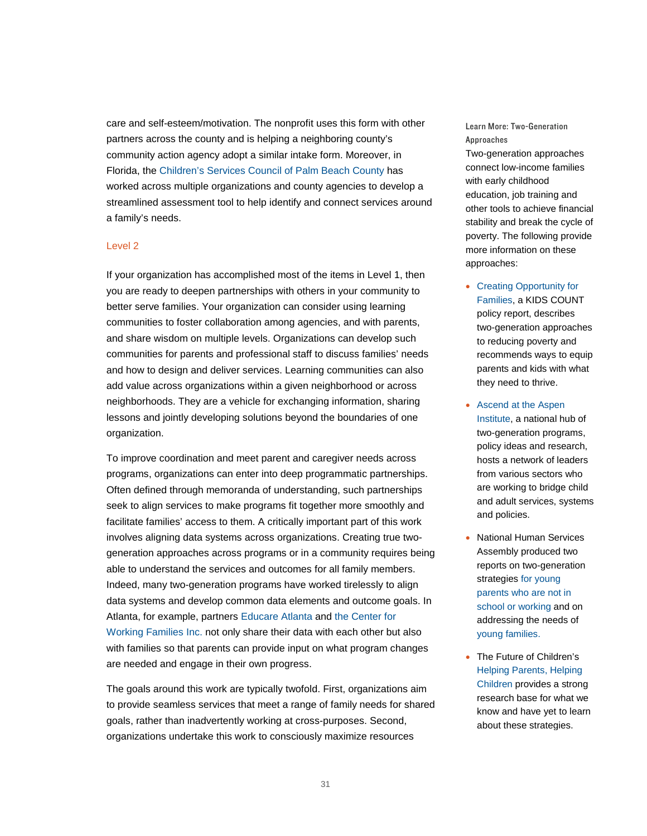care and self-esteem/motivation. The nonprofit uses this form with other partners across the county and is helping a neighboring county's community action agency adopt a similar intake form. Moreover, in Florida, the [Children's Services Council of Palm Beach County](http://www.cscpbc.org/) has worked across multiple organizations and county agencies to develop a streamlined assessment tool to help identify and connect services around a family's needs.

## Level 2

If your organization has accomplished most of the items in Level 1, then you are ready to deepen partnerships with others in your community to better serve families. Your organization can consider using learning communities to foster collaboration among agencies, and with parents, and share wisdom on multiple levels. Organizations can develop such communities for parents and professional staff to discuss families' needs and how to design and deliver services. Learning communities can also add value across organizations within a given neighborhood or across neighborhoods. They are a vehicle for exchanging information, sharing lessons and jointly developing solutions beyond the boundaries of one organization.

To improve coordination and meet parent and caregiver needs across programs, organizations can enter into deep programmatic partnerships. Often defined through memoranda of understanding, such partnerships seek to align services to make programs fit together more smoothly and facilitate families' access to them. A critically important part of this work involves aligning data systems across organizations. Creating true twogeneration approaches across programs or in a community requires being able to understand the services and outcomes for all family members. Indeed, many two-generation programs have worked tirelessly to align data systems and develop common data elements and outcome goals. In Atlanta, for example, partners [Educare Atlanta](http://dunbarlearningcomplex.org/educare/) and [the Center for](http://tcwfi.org/)  [Working Families Inc.](http://tcwfi.org/) not only share their data with each other but also with families so that parents can provide input on what program changes are needed and engage in their own progress.

The goals around this work are typically twofold. First, organizations aim to provide seamless services that meet a range of family needs for shared goals, rather than inadvertently working at cross-purposes. Second, organizations undertake this work to consciously maximize resources

Learn More: Two-Generation Approaches

Two-generation approaches connect low-income families with early childhood education, job training and other tools to achieve financial stability and break the cycle of poverty. The following provide more information on these approaches:

- [Creating Opportunity for](http://www.aecf.org/resources/creating-opportunity-for-families/)  [Families,](http://www.aecf.org/resources/creating-opportunity-for-families/) a KIDS COUNT policy report, describes two-generation approaches to reducing poverty and recommends ways to equip parents and kids with what they need to thrive.
- [Ascend at the Aspen](http://ascend.aspeninstitute.org/)  [Institute,](http://ascend.aspeninstitute.org/) a national hub of two-generation programs, policy ideas and research, hosts a network of leaders from various sectors who are working to bridge child and adult services, systems and policies.
- National Human Services Assembly produced two reports on two-generation strategies [for young](http://www.nassembly.org/Uploads2/Resources/NHSAFull_Report2GenOSOWFamilies.pdf)  [parents who are not in](http://www.nassembly.org/Uploads2/Resources/NHSAFull_Report2GenOSOWFamilies.pdf)  [school or working](http://www.nassembly.org/Uploads2/Resources/NHSAFull_Report2GenOSOWFamilies.pdf) and on addressing the needs of [young families.](http://www.nationalassembly.org/uploads/Publications/TwoGenerationApril2015.pdf)
- The Future of Children's [Helping Parents, Helping](http://futureofchildren.org/publications/journals/journal_details/index.xml?journalid=81)  [Children](http://futureofchildren.org/publications/journals/journal_details/index.xml?journalid=81) provides a strong research base for what we know and have yet to learn about these strategies.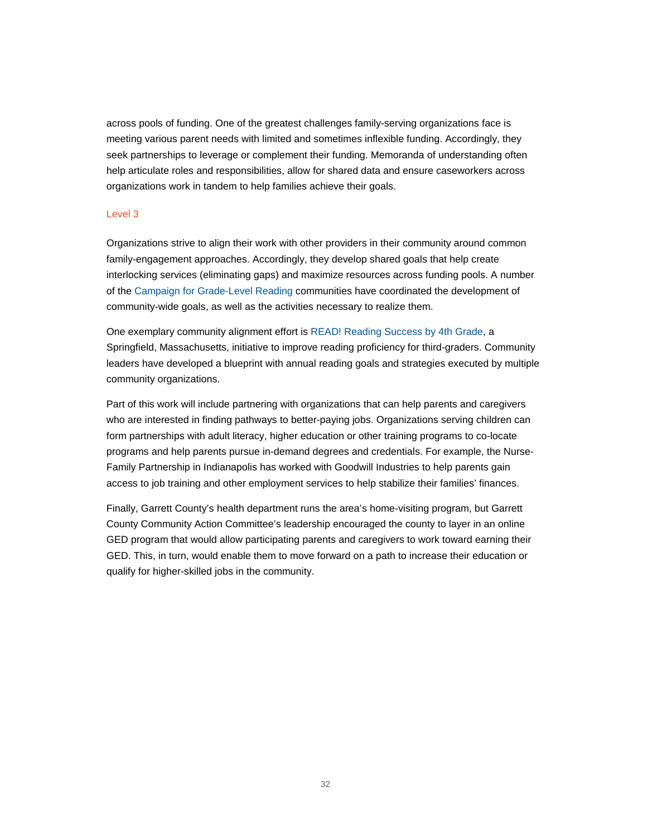across pools of funding. One of the greatest challenges family-serving organizations face is meeting various parent needs with limited and sometimes inflexible funding. Accordingly, they seek partnerships to leverage or complement their funding. Memoranda of understanding often help articulate roles and responsibilities, allow for shared data and ensure caseworkers across organizations work in tandem to help families achieve their goals.

### Level 3

Organizations strive to align their work with other providers in their community around common family-engagement approaches. Accordingly, they develop shared goals that help create interlocking services (eliminating gaps) and maximize resources across funding pools. A number of the [Campaign for Grade-Level Reading](http://gradelevelreading.net/) communities have coordinated the development of community-wide goals, as well as the activities necessary to realize them.

One exemplary community alignment effort is [READ! Reading Success by 4th Grade,](http://www.readby4thgrade.com/) a Springfield, Massachusetts, initiative to improve reading proficiency for third-graders. Community leaders have developed a blueprint with annual reading goals and strategies executed by multiple community organizations.

Part of this work will include partnering with organizations that can help parents and caregivers who are interested in finding pathways to better-paying jobs. Organizations serving children can form partnerships with adult literacy, higher education or other training programs to co-locate programs and help parents pursue in-demand degrees and credentials. For example, the Nurse-Family Partnership in Indianapolis has worked with Goodwill Industries to help parents gain access to job training and other employment services to help stabilize their families' finances.

Finally, Garrett County's health department runs the area's home-visiting program, but Garrett County Community Action Committee's leadership encouraged the county to layer in an online GED program that would allow participating parents and caregivers to work toward earning their GED. This, in turn, would enable them to move forward on a path to increase their education or qualify for higher-skilled jobs in the community.